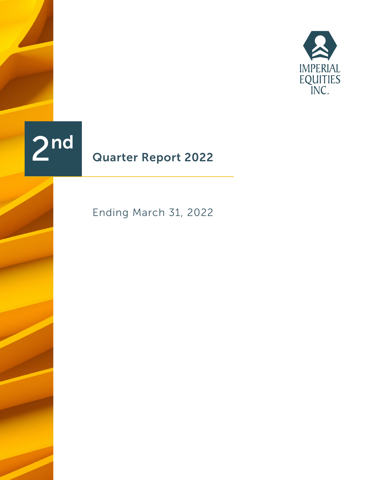



# Quarter Report 2022

Ending March 31, 2022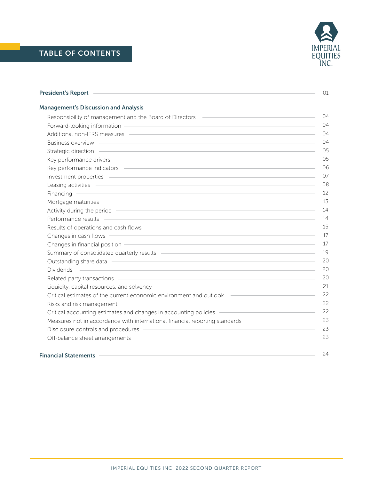| President's Report <b>Constant</b>                                                                                                                                                                                                   | 01             |
|--------------------------------------------------------------------------------------------------------------------------------------------------------------------------------------------------------------------------------------|----------------|
| <b>Management's Discussion and Analysis</b>                                                                                                                                                                                          |                |
| Responsibility of management and the Board of Directors (Campension Community of management and the Board of Directors (Campension Community of management and the Board of Directors (Campension Community of the United Stat       | 04             |
| Forward-looking information entity and the state of the state of the state of the state of the state of the state of the state of the state of the state of the state of the state of the state of the state of the state of t       | 04             |
|                                                                                                                                                                                                                                      | 04             |
| Business overview <b>contract to the contract of the contract of the contract of the contract of the contract of the contract of the contract of the contract of the contract of the contract of the contract of the contract of</b> | 04             |
| Strategic direction <b>contract to the contract of the contract of the contract of the contract of the contract of the contract of the contract of the contract of the contract of the contract of the contract of the contract </b> | 0 <sub>5</sub> |
|                                                                                                                                                                                                                                      | 0 <sub>5</sub> |
| Key performance indicators example and the state of the state of the state of the state of the state of the state of the state of the state of the state of the state of the state of the state of the state of the state of t       | 06             |
|                                                                                                                                                                                                                                      | 07             |
| Leasing activities entertainment and the state of the state of the state of the state of the state of the state of the state of the state of the state of the state of the state of the state of the state of the state of the       | 08             |
| Financing <b>Contract Contract Contract Contract Contract Contract Contract Contract Contract Contract Contract Contract Contract Contract Contract Contract Contract Contract Contract Contract Contract Contract Contract Cont</b> | 12             |
| Mortgage maturities <b>contract to the contract of the contract of the contract of the contract of the contract of the contract of the contract of the contract of the contract of the contract of the contract of the contract </b> | 13             |
|                                                                                                                                                                                                                                      | 14             |
| Performance results entertainment and the contract of the contract of the contract of the contract of the contract of                                                                                                                | 14             |
| Results of operations and cash flows Theorem and The Contract of the Contract of the Contract of the Contract of the Contract of the Contract of the Contract of the Contract of the Contract of the Contract of the Contract        | 15             |
| Changes in cash flows <b>contract to the contract of the contract of the contract of the contract of the contract of the contract of the contract of the contract of the contract of the contract of the contract of the contrac</b> | 17             |
| Changes in financial position entrance and the contract of the contract of the contract of the contract of the                                                                                                                       | 17             |
| Summary of consolidated quarterly results - The Constant of the Constant of Consolidated quarterly results - The Consolidated of the Consolidated of the Consolidated of the Consolidated of the Consolidated of the Consolida       | 19             |
| Outstanding share data entitled and the state of the state of the state of the state of the state of the state of the state of the state of the state of the state of the state of the state of the state of the state of the        | 20             |
| <u> 1999 - Jan Samuel Barbara, margaret eta bat erroman erroman erroman erroman ez erroman ez erroman ez ez ez e</u><br><b>Dividends</b>                                                                                             | 20             |
| Related party transactions experience and the contract of the contract of the contract of the contract of the contract of the contract of the contract of the contract of the contract of the contract of the contract of the        | 20             |
| Liquidity, capital resources, and solvency <b>contained a matter of the set of the set of the set of the set of the set of the set of the set of the set of the set of the set of the set of the set of the set of the set of th</b> | 21             |
| Critical estimates of the current economic environment and outlook ——————————————                                                                                                                                                    | 22             |
| <u> Alexandria de la contrada de la contrada de la contrada de la contrada de la contrada de la contrada de la c</u><br>Risks and risk management                                                                                    | 22             |
| Critical accounting estimates and changes in accounting policies - The Commission of the Critical accounting estimates and changes in accounting policies                                                                            | 22             |
| Measures not in accordance with international financial reporting standards ————————————————————                                                                                                                                     | 23             |
|                                                                                                                                                                                                                                      | 23             |
| Off-balance sheet arrangements entitled and a state of the balance sheet arrangements                                                                                                                                                | 23             |
| <b>Financial Statements</b>                                                                                                                                                                                                          | 24             |

# Financial Statements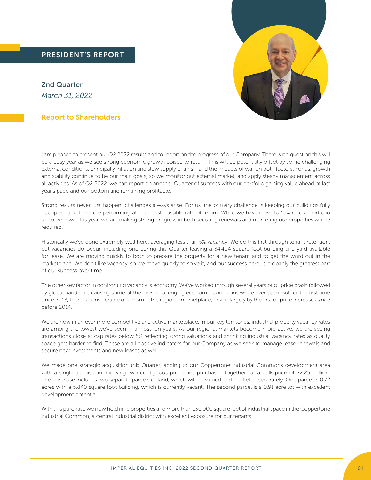2nd Quarter *March 31, 2022*

# Report to Shareholders

I am pleased to present our Q2 2022 results and to report on the progress of our Company. There is no question this will be a busy year as we see strong economic growth poised to return. This will be potentially offset by some challenging external conditions, principally inflation and slow supply chains – and the impacts of war on both factors. For us, growth and stability continue to be our main goals, so we monitor out external market, and apply steady management across all activities. As of Q2 2022, we can report on another Quarter of success with our portfolio gaining value ahead of last year's pace and our bottom line remaining profitable.

Strong results never just happen; challenges always arise. For us, the primary challenge is keeping our buildings fully occupied, and therefore performing at their best possible rate of return. While we have close to 15% of our portfolio up for renewal this year, we are making strong progress in both securing renewals and marketing our properties where required.

Historically we've done extremely well here, averaging less than 5% vacancy. We do this first through tenant retention, but vacancies do occur, including one during this Quarter leaving a 34,404 square foot building and yard available for lease. We are moving quickly to both to prepare the property for a new tenant and to get the word out in the marketplace. We don't like vacancy, so we move quickly to solve it, and our success here, is probably the greatest part of our success over time.

The other key factor in confronting vacancy is economy. We've worked through several years of oil price crash followed by global pandemic causing some of the most challenging economic conditions we've ever seen. But for the first time since 2013, there is considerable optimism in the regional marketplace, driven largely by the first oil price increases since before 2014.

We are now in an ever more competitive and active marketplace. In our key territories, industrial property vacancy rates are among the lowest we've seen in almost ten years, As our regional markets become more active, we are seeing transactions close at cap rates below 5% reflecting strong valuations and shrinking industrial vacancy rates as quality space gets harder to find. These are all positive indicators for our Company as we seek to manage lease renewals and secure new investments and new leases as well.

We made one strategic acquisition this Quarter, adding to our Coppertone Industrial Commons development area with a single acquisition involving two contiguous properties purchased together for a bulk price of \$2.25 million. The purchase includes two separate parcels of land, which will be valued and marketed separately. One parcel is 0.72 acres with a 5,840 square foot building, which is currently vacant. The second parcel is a 0.91 acre lot with excellent development potential.

With this purchase we now hold nine properties and more than 130,000 square feet of industrial space in the Coppertone Industrial Common, a central industrial district with excellent exposure for our tenants.

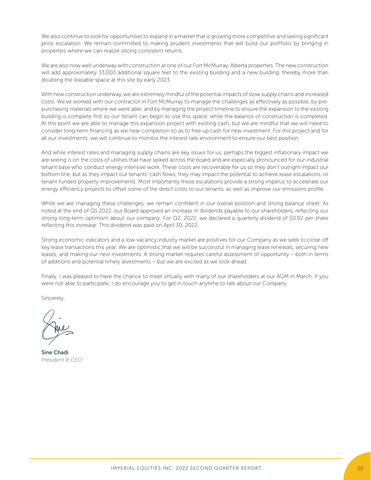We also continue to look for opportunities to expand in a market that is growing more competitive and seeing significant price escalation. We remain committed to making prudent investments that will build our portfolio by bringing in properties where we can realize strong consistent returns.

We are also now well underway with construction at one of our Fort McMurray, Alberta properties. The new construction will add approximately 33,000 additional square feet to the existing building and a new building, thereby more than doubling the leasable space at this site by early 2023.

With new construction underway, we are extremely mindful of the potential impacts of slow supply chains and increased costs. We've worked with our contractor in Fort McMurray to manage the challenges as effectively as possible, by prepurchasing materials where we were able, and by managing the project timeline to ensure the expansion to the existing building is complete first so our tenant can begin to use this space, while the balance of construction is completed. At this point we are able to manage this expansion project with existing cash, but we are mindful that we will need to consider long-term financing as we near completion so as to free up cash for new investment. For this project and for all our investments, we will continue to monitor the interest rate environment to ensure our best position.

And while interest rates and managing supply chains are key issues for us, perhaps the biggest inflationary impact we are seeing is on the costs of utilities that have spiked across the board and are especially pronounced for our industrial tenant base who conduct energy intensive work. These costs are recoverable for us so they don't outright impact our bottom line, but as they impact our tenants' cash flows, they may impact the potential to achieve lease escalations, or tenant-funded property improvements. Most importantly these escalations provide a strong impetus to accelerate our energy efficiency projects to offset some of the direct costs to our tenants, as well as improve our emissions profile.

While we are managing these challenges, we remain confident in our overall position and strong balance sheet. As noted at the end of Q1 2022, our Board approved an increase in dividends payable to our shareholders, reflecting our strong long-term optimism about our company. For Q2, 2022, we declared a quarterly dividend of \$0.02 per share reflecting this increase. This dividend was paid on April 30, 2022.

Strong economic indicators and a low-vacancy industry market are positives for our Company as we seek to close off key lease transactions this year. We are optimistic that we will be successful in managing lease renewals, securing new leases, and making our next investments. A strong market requires careful assessment of opportunity – both in terms of additions and potential timely divestments – but we are excited as we look ahead.

Finally, I was pleased to have the chance to meet virtually with many of our shareholders at our AGM in March. If you were not able to participate, I do encourage you to get in touch anytime to talk about our Company.

Sincerely,

Sine Chadi President & CEO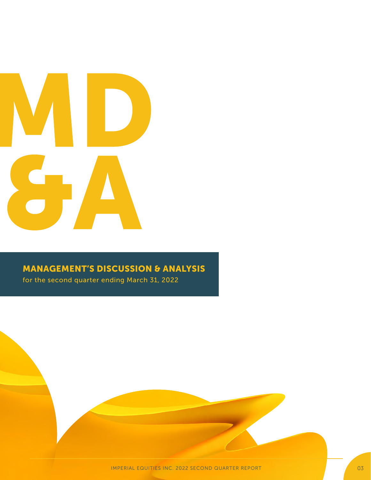

# MANAGEMENT'S DISCUSSION & ANALYSIS

for the second quarter ending March 31, 2022

IMPERIAL EQUITIES INC. 2022 SECOND QUARTER REPORT 03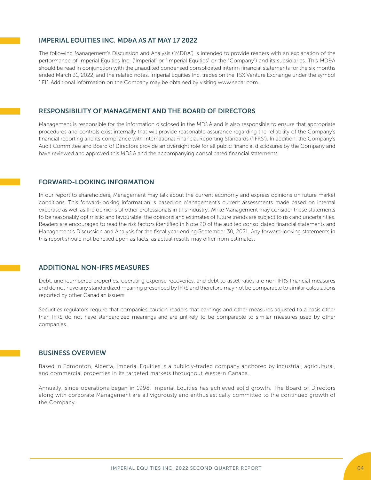# IMPERIAL EQUITIES INC. MD&A AS AT MAY 17 2022

The following Management's Discussion and Analysis ("MD&A") is intended to provide readers with an explanation of the performance of Imperial Equities Inc. ("Imperial" or "Imperial Equities" or the "Company") and its subsidiaries. This MD&A should be read in conjunction with the unaudited condensed consolidated interim financial statements for the six months ended March 31, 2022, and the related notes. Imperial Equities Inc. trades on the TSX Venture Exchange under the symbol "IEI". Additional information on the Company may be obtained by visiting www.sedar.com.

# RESPONSIBILITY OF MANAGEMENT AND THE BOARD OF DIRECTORS

Management is responsible for the information disclosed in the MD&A and is also responsible to ensure that appropriate procedures and controls exist internally that will provide reasonable assurance regarding the reliability of the Company's financial reporting and its compliance with International Financial Reporting Standards ("IFRS"). In addition, the Company's Audit Committee and Board of Directors provide an oversight role for all public financial disclosures by the Company and have reviewed and approved this MD&A and the accompanying consolidated financial statements.

# FORWARD-LOOKING INFORMATION

In our report to shareholders, Management may talk about the current economy and express opinions on future market conditions. This forward-looking information is based on Management's current assessments made based on internal expertise as well as the opinions of other professionals in this industry. While Management may consider these statements to be reasonably optimistic and favourable, the opinions and estimates of future trends are subject to risk and uncertainties. Readers are encouraged to read the risk factors identified in Note 20 of the audited consolidated financial statements and Management's Discussion and Analysis for the fiscal year ending September 30, 2021. Any forward-looking statements in this report should not be relied upon as facts, as actual results may differ from estimates.

# ADDITIONAL NON-IFRS MEASURES

Debt, unencumbered properties, operating expense recoveries, and debt to asset ratios are non-IFRS financial measures and do not have any standardized meaning prescribed by IFRS and therefore may not be comparable to similar calculations reported by other Canadian issuers.

Securities regulators require that companies caution readers that earnings and other measures adjusted to a basis other than IFRS do not have standardized meanings and are unlikely to be comparable to similar measures used by other companies.

### BUSINESS OVERVIEW

Based in Edmonton, Alberta, Imperial Equities is a publicly-traded company anchored by industrial, agricultural, and commercial properties in its targeted markets throughout Western Canada.

Annually, since operations began in 1998, Imperial Equities has achieved solid growth. The Board of Directors along with corporate Management are all vigorously and enthusiastically committed to the continued growth of the Company.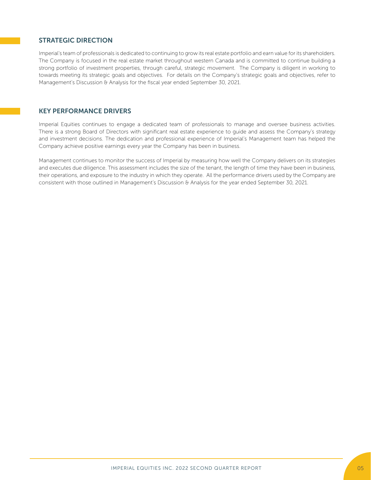# STRATEGIC DIRECTION

Imperial's team of professionals is dedicated to continuing to grow its real estate portfolio and earn value for its shareholders. The Company is focused in the real estate market throughout western Canada and is committed to continue building a strong portfolio of investment properties, through careful, strategic movement. The Company is diligent in working to towards meeting its strategic goals and objectives. For details on the Company's strategic goals and objectives, refer to Management's Discussion & Analysis for the fiscal year ended September 30, 2021.

# KEY PERFORMANCE DRIVERS

Imperial Equities continues to engage a dedicated team of professionals to manage and oversee business activities. There is a strong Board of Directors with significant real estate experience to guide and assess the Company's strategy and investment decisions. The dedication and professional experience of Imperial's Management team has helped the Company achieve positive earnings every year the Company has been in business.

Management continues to monitor the success of Imperial by measuring how well the Company delivers on its strategies and executes due diligence. This assessment includes the size of the tenant, the length of time they have been in business, their operations, and exposure to the industry in which they operate. All the performance drivers used by the Company are consistent with those outlined in Management's Discussion & Analysis for the year ended September 30, 2021.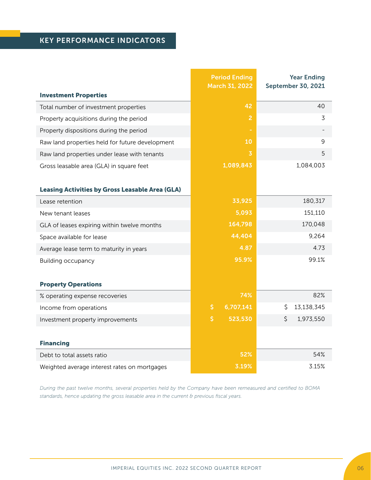# KEY PERFORMANCE INDICATORS

|                                                        | <b>Period Ending</b><br><b>March 31, 2022</b> |                | <b>Year Ending</b><br><b>September 30, 2021</b> |
|--------------------------------------------------------|-----------------------------------------------|----------------|-------------------------------------------------|
| <b>Investment Properties</b>                           |                                               |                |                                                 |
| Total number of investment properties                  |                                               | 42             | 40                                              |
| Property acquisitions during the period                |                                               | $\overline{2}$ | 3                                               |
| Property dispositions during the period                |                                               | ×,             |                                                 |
| Raw land properties held for future development        |                                               | 10             | 9                                               |
| Raw land properties under lease with tenants           |                                               | 3              | 5                                               |
| Gross leasable area (GLA) in square feet               | 1,089,843                                     |                | 1,084,003                                       |
|                                                        |                                               |                |                                                 |
| <b>Leasing Activities by Gross Leasable Area (GLA)</b> |                                               |                |                                                 |
| Lease retention                                        |                                               | 33,925         | 180,317                                         |
| New tenant leases                                      |                                               | 5,093          | 151,110                                         |
| GLA of leases expiring within twelve months            |                                               | 164,798        | 170,048                                         |
| Space available for lease                              |                                               | 44,404         | 9,264                                           |
| Average lease term to maturity in years                |                                               | 4.87           | 4.73                                            |
| <b>Building occupancy</b>                              |                                               | 95.9%          | 99.1%                                           |
|                                                        |                                               |                |                                                 |
| <b>Property Operations</b>                             |                                               |                |                                                 |
| % operating expense recoveries                         |                                               | 74%            | 82%                                             |
| Income from operations                                 | \$                                            | 6,707,141      | 13,138,345<br>\$                                |
| Investment property improvements                       | \$                                            | 523,530        | 1,973,550<br>\$                                 |
|                                                        |                                               |                |                                                 |
| <b>Financing</b>                                       |                                               |                |                                                 |
| Debt to total assets ratio                             |                                               | 52%            | 54%                                             |
| Weighted average interest rates on mortgages           |                                               | 3.19%          | 3.15%                                           |

*During the past twelve months, several properties held by the Company have been remeasured and certified to BOMA standards, hence updating the gross leasable area in the current & previous fiscal years.*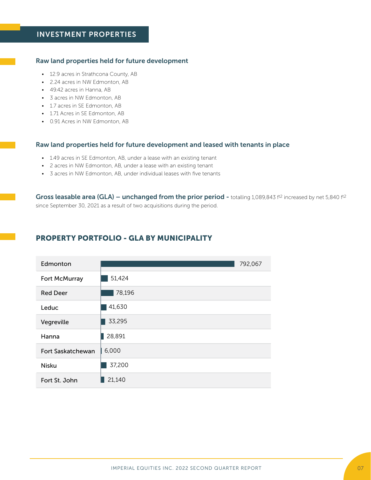### Raw land properties held for future development

- 12.9 acres in Strathcona County, AB
- 2.24 acres in NW Edmonton, AB
- 49.42 acres in Hanna, AB
- 3 acres in NW Edmonton, AB
- 1.7 acres in SE Edmonton, AB
- 1.71 Acres in SE Edmonton, AB
- 0.91 Acres in NW Edmonton, AB

### Raw land properties held for future development and leased with tenants in place

- 1.49 acres in SE Edmonton, AB, under a lease with an existing tenant
- 2 acres in NW Edmonton, AB, under a lease with an existing tenant
- 3 acres in NW Edmonton, AB, under individual leases with five tenants

Gross leasable area (GLA) – unchanged from the prior period - totalling 1,089,843 ft2 increased by net 5,840 ft2 since September 30, 2021 as a result of two acquisitions during the period.

# PROPERTY PORTFOLIO - GLA BY MUNICIPALITY

| Edmonton                 |        | 792,067 |
|--------------------------|--------|---------|
| Fort McMurray            | 51,424 |         |
| <b>Red Deer</b>          | 78,196 |         |
| Leduc                    | 41,630 |         |
| Vegreville               | 33,295 |         |
| Hanna                    | 28,891 |         |
| <b>Fort Saskatchewan</b> | 6,000  |         |
| <b>Nisku</b>             | 37,200 |         |
| Fort St. John            | 21,140 |         |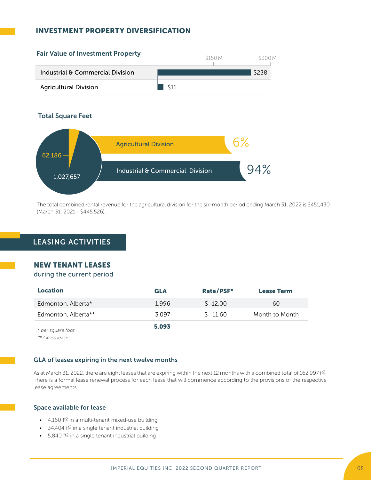# INVESTMENT PROPERTY DIVERSIFICATION



The total combined rental revenue for the agricultural division for the six-month period ending March 31, 2022 is \$451,430 (March 31, 2021 - \$445,526).

# LEASING ACTIVITIES

# NEW TENANT LEASES

# during the current period

| <b>Location</b>     | <b>GLA</b> | Rate/PSF* | <b>Lease Term</b> |
|---------------------|------------|-----------|-------------------|
| Edmonton, Alberta*  | 1.996      | \$12.00   | 60                |
| Edmonton, Alberta** | 3.097      | \$11.60   | Month to Month    |
| * per square foot   | 5,093      |           |                   |

*\*\* Gross lease*

# GLA of leases expiring in the next twelve months

As at March 31, 2022, there are eight leases that are expiring within the next 12 months with a combined total of 162,997 ft<sup>2</sup>. There is a formal lease renewal process for each lease that will commence according to the provisions of the respective lease agreements.

### Space available for lease

- $\cdot$  4,160 f<sup>t2</sup> in a multi-tenant mixed-use building
- 34,404 ft2 in a single tenant industrial building
- 5,840 ft<sup>2</sup> in a single tenant industrial building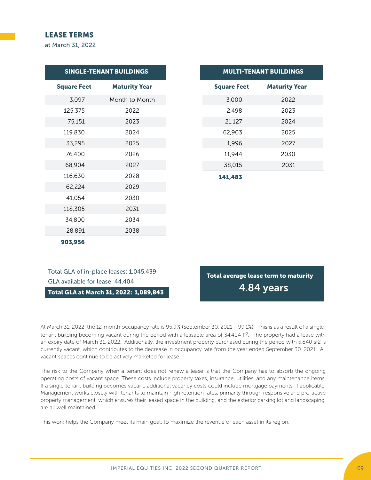# LEASE TERMS

at March 31, 2022

|                    | <b>SINGLE-TENANT BUILDINGS</b> |
|--------------------|--------------------------------|
| <b>Square Feet</b> | <b>Maturity Year</b>           |
| 3,097              | Month to Month                 |
| 125,375            | 2022                           |
| 75,151             | 2023                           |
| 119,830            | 2024                           |
| 33,295             | 2025                           |
| 76,400             | 2026                           |
| 68,904             | 2027                           |
| 116,630            | 2028                           |
| 62,224             | 2029                           |
| 41,054             | 2030                           |
| 118,305            | 2031                           |
| 34,800             | 2034                           |
| 28,891             | 2038                           |
| 903,956            |                                |

|  |  | <b>MULTI-TENANT BUILDINGS</b> |
|--|--|-------------------------------|
|  |  |                               |

| <b>Square Feet</b> | <b>Maturity Year</b> |
|--------------------|----------------------|
| 3,000              | 2022                 |
| 2,498              | 2023                 |
| 21,127             | 2024                 |
| 62,903             | 2025                 |
| 1,996              | 2027                 |
| 11,944             | 2030                 |
| 38,015             | 2031                 |
| 141,483            |                      |

Total GLA of in-place leases: 1,045,439 GLA available for lease: 44,404

Total GLA at March 31, 2022: 1,089,843

Total average lease term to maturity 4.84 years

At March 31, 2022, the 12-month occupancy rate is 95.9% (September 30, 2021 – 99.1%). This is as a result of a singletenant building becoming vacant during the period with a leasable area of 34,404 ft2. The property had a lease with an expiry date of March 31, 2022. Additionally, the investment property purchased during the period with 5,840 sf2 is currently vacant, which contributes to the decrease in occupancy rate from the year ended September 30, 2021. All vacant spaces continue to be actively marketed for lease.

The risk to the Company when a tenant does not renew a lease is that the Company has to absorb the ongoing operating costs of vacant space. These costs include property taxes, insurance, utilities, and any maintenance items. If a single-tenant building becomes vacant, additional vacancy costs could include mortgage payments, if applicable. Management works closely with tenants to maintain high retention rates, primarily through responsive and pro-active property management, which ensures their leased space in the building, and the exterior parking lot and landscaping, are all well maintained.

This work helps the Company meet its main goal: to maximize the revenue of each asset in its region.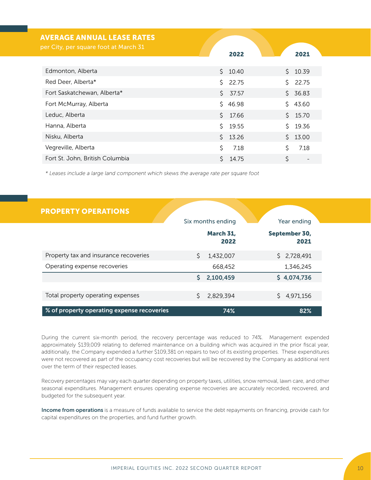| <b>AVERAGE ANNUAL LEASE RATES</b>     |             |    |         |
|---------------------------------------|-------------|----|---------|
| per City, per square foot at March 31 | 2022        |    | 2021    |
| Edmonton, Alberta                     | Ŝ.<br>10.40 | Ŝ. | 10.39   |
| Red Deer, Alberta*                    | \$22.75     | Š. | 22.75   |
| Fort Saskatchewan, Alberta*           | \$37.57     |    | \$36.83 |
| Fort McMurray, Alberta                | \$46.98     |    | \$43.60 |
| Leduc, Alberta                        | \$17.66     |    | \$15.70 |
| Hanna, Alberta                        | Ŝ.<br>19.55 | Ś. | 19.36   |
| Nisku, Alberta                        | \$13.26     |    | \$13.00 |
| Vegreville, Alberta                   | Ś<br>7.18   | Ś. | 7.18    |
| Fort St. John, British Columbia       | 14.75       | Ś  |         |

*\* Leases include a large land component which skews the average rate per square foot*

| <b>PROPERTY OPERATIONS</b>                 |    |                   |                       |  |
|--------------------------------------------|----|-------------------|-----------------------|--|
|                                            |    | Six months ending | Year ending           |  |
|                                            |    | March 31,<br>2022 | September 30,<br>2021 |  |
| Property tax and insurance recoveries      | Ŝ. | 1.432.007         | \$2,728,491           |  |
| Operating expense recoveries               |    | 668,452           | 1,346,245             |  |
|                                            | S. | 2,100,459         | \$4,074,736           |  |
| Total property operating expenses          |    | 2,829,394         | 4,971,156             |  |
| % of property operating expense recoveries |    | 74%               | 82%                   |  |

During the current six-month period, the recovery percentage was reduced to 74%. Management expended approximately \$139,009 relating to deferred maintenance on a building which was acquired in the prior fiscal year, additionally, the Company expended a further \$109,381 on repairs to two of its existing properties. These expenditures were not recovered as part of the occupancy cost recoveries but will be recovered by the Company as additional rent over the term of their respected leases.

Recovery percentages may vary each quarter depending on property taxes, utilities, snow removal, lawn care, and other seasonal expenditures. Management ensures operating expense recoveries are accurately recorded, recovered, and budgeted for the subsequent year.

Income from operations is a measure of funds available to service the debt repayments on financing, provide cash for capital expenditures on the properties, and fund further growth.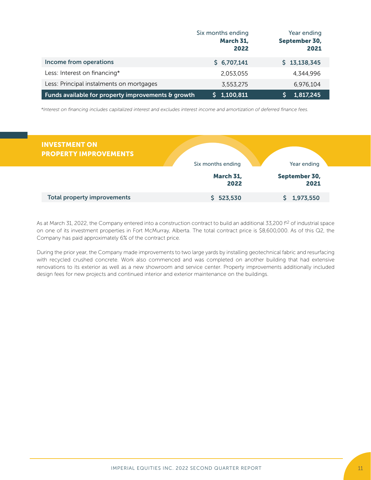|                                                    | Six months ending<br>March 31,<br>2022 | Year ending<br>September 30,<br>2021 |
|----------------------------------------------------|----------------------------------------|--------------------------------------|
| Income from operations                             | \$6,707,141                            | \$13,138,345                         |
| Less: Interest on financing*                       | 2.053.055                              | 4,344,996                            |
| Less: Principal instalments on mortgages           | 3.553.275                              | 6,976,104                            |
| Funds available for property improvements & growth | \$1,100,811                            | 1,817,245                            |

*\*Interest on financing includes capitalized interest and excludes interest income and amortization of deferred finance fees.*

| <b>INVESTMENT ON</b><br><b>PROPERTY IMPROVEMENTS</b> | Six months ending        | Year ending           |
|------------------------------------------------------|--------------------------|-----------------------|
|                                                      | <b>March 31,</b><br>2022 | September 30,<br>2021 |
| <b>Total property improvements</b>                   | 523,530                  | 1,973,550             |

As at March 31, 2022, the Company entered into a construction contract to build an additional 33,200 ft<sup>2</sup> of industrial space on one of its investment properties in Fort McMurray, Alberta. The total contract price is \$8,600,000. As of this Q2, the Company has paid approximately 6% of the contract price.

During the prior year, the Company made improvements to two large yards by installing geotechnical fabric and resurfacing with recycled crushed concrete. Work also commenced and was completed on another building that had extensive renovations to its exterior as well as a new showroom and service center. Property improvements additionally included design fees for new projects and continued interior and exterior maintenance on the buildings.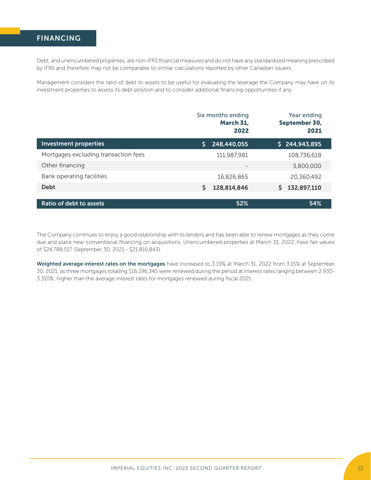# FINANCING

Debt, and unencumbered properties, are non-IFRS financial measures and do not have any standardized meaning prescribed by IFRS and therefore may not be comparable to similar calculations reported by other Canadian issuers.

Management considers the ratio of debt to assets to be useful for evaluating the leverage the Company may have on its investment properties to assess its debt position and to consider additional financing opportunities if any.

|                                      | Six months ending<br>March 31,<br>2022 | Year ending<br>September 30,<br>2021 |
|--------------------------------------|----------------------------------------|--------------------------------------|
| <b>Investment properties</b>         | Ś<br>248,440,055                       | \$244,943,895                        |
| Mortgages excluding transaction fees | 111,987,981                            | 108,736,618                          |
| Other financing                      | $\overline{\phantom{0}}$               | 3,800,000                            |
| Bank operating facilities            | 16,826,865                             | 20,360,492                           |
| <b>Debt</b>                          | \$<br>128,814,846                      | Š.<br>132,897,110                    |
|                                      |                                        |                                      |
| Ratio of debt to assets              | 52%                                    | 54%                                  |

The Company continues to enjoy a good relationship with its lenders and has been able to renew mortgages as they come due and place new conventional financing on acquisitions. Unencumbered properties at March 31, 2022, have fair values of \$24,788,517 (September 30, 2021 - \$21,816,843).

Weighted average interest rates on the mortgages have increased to 3.19% at March 31, 2022 from 3.15% at September 30, 2021, as three mortgages totalling \$16,196,345 were renewed during the period at interest rates ranging between 2.930- 3.310%; higher than the average interest rates for mortgages renewed during fiscal 2021.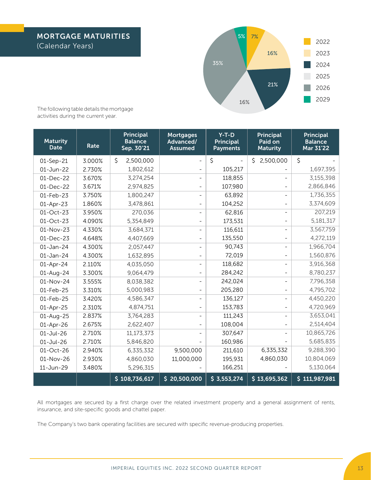

The following table details the mortgage activities during the current year.

| <b>Maturity</b><br><b>Date</b> | Rate   | <b>Principal</b><br><b>Balance</b><br>Sep. 30'21 | <b>Mortgages</b><br>Advanced/<br><b>Assumed</b> | $Y-T-D$<br><b>Principal</b><br><b>Payments</b> | <b>Principal</b><br>Paid on<br><b>Maturity</b> | <b>Principal</b><br><b>Balance</b><br>Mar 31'22 |
|--------------------------------|--------|--------------------------------------------------|-------------------------------------------------|------------------------------------------------|------------------------------------------------|-------------------------------------------------|
| 01-Sep-21                      | 3.000% | \$<br>2,500,000                                  | $\overline{\phantom{a}}$                        | $\zeta$                                        | \$2,500,000                                    | \$                                              |
| 01-Jun-22                      | 2.730% | 1,802,612                                        |                                                 | 105,217                                        |                                                | 1,697,395                                       |
| 01-Dec-22                      | 3.670% | 3,274,254                                        |                                                 | 118,855                                        |                                                | 3,155,398                                       |
| 01-Dec-22                      | 3.671% | 2,974,825                                        |                                                 | 107,980                                        |                                                | 2,866,846                                       |
| 01-Feb-23                      | 3.750% | 1,800,247                                        |                                                 | 63,892                                         |                                                | 1,736,355                                       |
| 01-Apr-23                      | 1.860% | 3,478,861                                        |                                                 | 104,252                                        |                                                | 3,374,609                                       |
| 01-Oct-23                      | 3.950% | 270,036                                          |                                                 | 62,816                                         |                                                | 207,219                                         |
| 01-Oct-23                      | 4.090% | 5,354,849                                        |                                                 | 173,531                                        |                                                | 5,181,317                                       |
| 01-Nov-23                      | 4.330% | 3,684,371                                        |                                                 | 116,611                                        |                                                | 3,567,759                                       |
| 01-Dec-23                      | 4.648% | 4,407,669                                        |                                                 | 135,550                                        |                                                | 4,272,119                                       |
| 01-Jan-24                      | 4.300% | 2,057,447                                        |                                                 | 90,743                                         |                                                | 1,966,704                                       |
| 01-Jan-24                      | 4.300% | 1,632,895                                        |                                                 | 72,019                                         |                                                | 1,560,876                                       |
| 01-Apr-24                      | 2.110% | 4,035,050                                        |                                                 | 118,682                                        |                                                | 3,916,368                                       |
| 01-Aug-24                      | 3.300% | 9,064,479                                        |                                                 | 284,242                                        |                                                | 8,780,237                                       |
| 01-Nov-24                      | 3.555% | 8,038,382                                        |                                                 | 242,024                                        |                                                | 7,796,358                                       |
| 01-Feb-25                      | 3.310% | 5,000,983                                        |                                                 | 205,280                                        |                                                | 4,795,702                                       |
| 01-Feb-25                      | 3.420% | 4,586,347                                        |                                                 | 136,127                                        |                                                | 4,450,220                                       |
| 01-Apr-25                      | 2.310% | 4,874,751                                        |                                                 | 153,783                                        |                                                | 4,720,969                                       |
| 01-Aug-25                      | 2.837% | 3,764,283                                        |                                                 | 111,243                                        |                                                | 3,653,041                                       |
| 01-Apr-26                      | 2.675% | 2,622,407                                        |                                                 | 108,004                                        |                                                | 2,514,404                                       |
| 01-Jul-26                      | 2.710% | 11,173,373                                       |                                                 | 307,647                                        |                                                | 10,865,726                                      |
| $01$ -Jul-26                   | 2.710% | 5,846,820                                        |                                                 | 160,986                                        |                                                | 5,685,835                                       |
| 01-Oct-26                      | 2.940% | 6,335,332                                        | 9,500,000                                       | 211,610                                        | 6,335,332                                      | 9,288,390                                       |
| 01-Nov-26                      | 2.930% | 4,860,030                                        | 11,000,000                                      | 195,931                                        | 4,860,030                                      | 10,804,069                                      |
| 11-Jun-29                      | 3.480% | 5,296,315                                        |                                                 | 166,251                                        |                                                | 5,130,064                                       |
|                                |        | \$108,736,617                                    | \$20,500,000                                    | \$3,553,274                                    | \$13,695,362                                   | \$111,987,981                                   |

All mortgages are secured by a first charge over the related investment property and a general assignment of rents, insurance, and site-specific goods and chattel paper.

The Company's two bank operating facilities are secured with specific revenue-producing properties.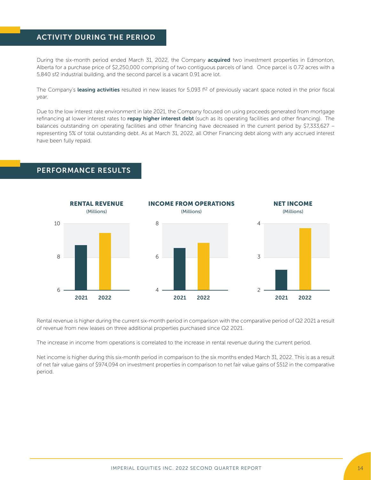# ACTIVITY DURING THE PERIOD

During the six-month period ended March 31, 2022, the Company acquired two investment properties in Edmonton, Alberta for a purchase price of \$2,250,000 comprising of two contiguous parcels of land. Once parcel is 0.72 acres with a 5,840 sf2 industrial building, and the second parcel is a vacant 0.91 acre lot.

The Company's leasing activities resulted in new leases for  $5.093$   $ft<sup>2</sup>$  of previously vacant space noted in the prior fiscal year.

Due to the low interest rate environment in late 2021, the Company focused on using proceeds generated from mortgage refinancing at lower interest rates to repay higher interest debt (such as its operating facilities and other financing). The balances outstanding on operating facilities and other financing have decreased in the current period by \$7,333,627 – representing 5% of total outstanding debt. As at March 31, 2022, all Other Financing debt along with any accrued interest have been fully repaid.



PERFORMANCE RESULTS

Rental revenue is higher during the current six-month period in comparison with the comparative period of Q2 2021 a result of revenue from new leases on three additional properties purchased since Q2 2021.

The increase in income from operations is correlated to the increase in rental revenue during the current period.

Net income is higher during this six-month period in comparison to the six months ended March 31, 2022. This is as a result of net fair value gains of \$974,094 on investment properties in comparison to net fair value gains of \$512 in the comparative period.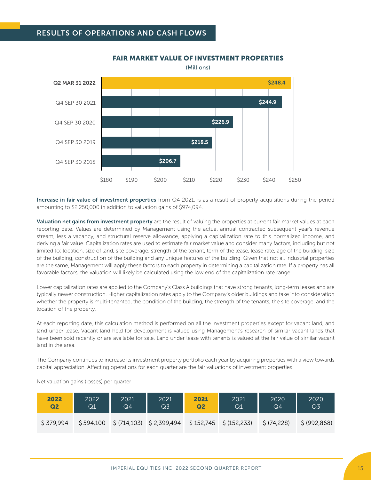

# FAIR MARKET VALUE OF INVESTMENT PROPERTIES

(Millions)

Increase in fair value of investment properties from Q4 2021, is as a result of property acquisitions during the period amounting to \$2,250,000 in addition to valuation gains of \$974,094.

Valuation net gains from investment property are the result of valuing the properties at current fair market values at each reporting date. Values are determined by Management using the actual annual contracted subsequent year's revenue stream, less a vacancy, and structural reserve allowance, applying a capitalization rate to this normalized income, and deriving a fair value. Capitalization rates are used to estimate fair market value and consider many factors, including but not limited to: location, size of land, site coverage, strength of the tenant, term of the lease, lease rate, age of the building, size of the building, construction of the building and any unique features of the building. Given that not all industrial properties are the same, Management will apply these factors to each property in determining a capitalization rate. If a property has all favorable factors, the valuation will likely be calculated using the low end of the capitalization rate range.

Lower capitalization rates are applied to the Company's Class A buildings that have strong tenants, long-term leases and are typically newer construction. Higher capitalization rates apply to the Company's older buildings and take into consideration whether the property is multi-tenanted, the condition of the building, the strength of the tenants, the site coverage, and the location of the property.

At each reporting date, this calculation method is performed on all the investment properties except for vacant land, and land under lease. Vacant land held for development is valued using Management's research of similar vacant lands that have been sold recently or are available for sale. Land under lease with tenants is valued at the fair value of similar vacant land in the area.

The Company continues to increase its investment property portfolio each year by acquiring properties with a view towards capital appreciation. Affecting operations for each quarter are the fair valuations of investment properties.

| 2022           | 2022      | 2021 | 2021                                                                                          | 2021           | 2021 | 2020        | 2020           |
|----------------|-----------|------|-----------------------------------------------------------------------------------------------|----------------|------|-------------|----------------|
| Q <sub>2</sub> | $\rm Q1$  | Q4   | Q3                                                                                            | Q <sub>2</sub> | Q1   | Q4          | Q <sub>3</sub> |
| S 379.994      | \$594,100 |      | $\frac{1}{2}$ (714,103) $\frac{1}{2}$ 2,399,494 $\frac{1}{2}$ 152,745 $\frac{1}{2}$ (152,233) |                |      | \$ (74,228) | \$ (992, 868)  |

Net valuation gains (losses) per quarter: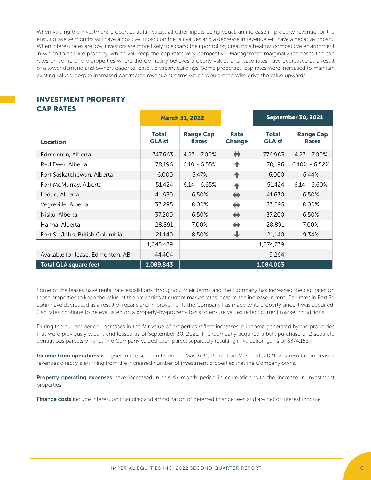When valuing the investment properties at fair value, all other inputs being equal, an increase in property revenue for the ensuing twelve months will have a positive impact on the fair values and a decrease in revenue will have a negative impact. When interest rates are low, investors are more likely to expand their portfolios, creating a healthy, competitive environment in which to acquire property, which will keep the cap rates very competitive. Management marginally increases the cap rates on some of the properties where the Company believes property values and lease rates have decreased as a result of a lower demand and owners eager to lease up vacant buildings. Some properties' cap rates were increased to maintain existing values, despite increased contracted revenue streams which would otherwise drive the value upwards.

# INVESTMENT PROPERTY CAP RATES

|                                   | <b>March 31, 2022</b>         |                                  |                              |                               | <b>September 30, 2021</b>        |
|-----------------------------------|-------------------------------|----------------------------------|------------------------------|-------------------------------|----------------------------------|
| <b>Location</b>                   | <b>Total</b><br><b>GLA sf</b> | <b>Range Cap</b><br><b>Rates</b> | <b>Rate</b><br><b>Change</b> | <b>Total</b><br><b>GLA sf</b> | <b>Range Cap</b><br><b>Rates</b> |
| Edmonton, Alberta                 | 747,663                       | $4.27 - 7.00\%$                  | ⇔                            | 776,963                       | $4.27 - 7.00\%$                  |
| Red Deer, Alberta                 | 78,196                        | $6.10 - 6.55%$                   | ↟                            | 78,196                        | $6.10\% - 6.52\%$                |
| Fort Saskatchewan, Alberta        | 6,000                         | 6.47%                            | 个                            | 6,000                         | 6.44%                            |
| Fort McMurray, Alberta            | 51,424                        | $6.14 - 6.65%$                   | ♠                            | 51,424                        | $6.14 - 6.60%$                   |
| Leduc, Alberta                    | 41,630                        | 6.50%                            | $\leftrightarrow$            | 41,630                        | 6.50%                            |
| Vegreville, Alberta               | 33,295                        | 8.00%                            | ⇔                            | 33,295                        | 8.00%                            |
| Nisku, Alberta                    | 37,200                        | 6.50%                            | $\leftrightarrow$            | 37,200                        | 6.50%                            |
| Hanna, Alberta                    | 28,891                        | 7.00%                            | ⇔                            | 28,891                        | 7.00%                            |
| Fort St. John, British Columbia   | 21,140                        | 8.50%                            | ┺                            | 21,140                        | 9.34%                            |
|                                   | 1,045,439                     |                                  |                              | 1,074,739                     |                                  |
| Available for lease, Edmonton, AB | 44,404                        |                                  |                              | 9,264                         |                                  |
| <b>Total GLA square feet</b>      | 1,089,843                     |                                  |                              | 1,084,003                     |                                  |

Some of the leases have rental rate escalations throughout their terms and the Company has increased the cap rates on those properties to keep the value of the properties at current market rates, despite the increase in rent. Cap rates in Fort St. John have decreased as a result of repairs and improvements the Company has made to its property since it was acquired. Cap rates continue to be evaluated on a property-by-property basis to ensure values reflect current market conditions.

During the current period, increases in the fair value of properties reflect increases in income generated by the properties that were previously vacant and leased as of September 30, 2021. The Company acquired a bulk purchase of 2 separate contiguous parcels of land. The Company valued each parcel separately resulting in valuation gains of \$374,153.

Income from operations is higher in the six months ended March 31, 2022 than March 31, 2021 as a result of increased revenues directly stemming from the increased number of investment properties that the Company owns.

Property operating expenses have increased in this six-month period in correlation with the increase in investment properties.

Finance costs include interest on financing and amortization of deferred finance fees and are net of interest income.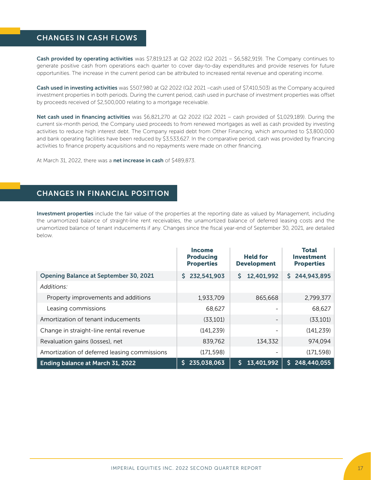# CHANGES IN CASH FLOWS

Cash provided by operating activities was \$7,819,123 at  $Q2$  2022 ( $Q2$  2021 – \$6,582,919). The Company continues to generate positive cash from operations each quarter to cover day-to-day expenditures and provide reserves for future opportunities. The increase in the current period can be attributed to increased rental revenue and operating income.

Cash used in investing activities was \$507,980 at Q2 2022 (Q2 2021 –cash used of \$7,410,503) as the Company acquired investment properties in both periods. During the current period, cash used in purchase of investment properties was offset by proceeds received of \$2,500,000 relating to a mortgage receivable.

Net cash used in financing activities was \$6,821,270 at Q2 2022 (Q2 2021 – cash provided of \$1,029,189). During the current six-month period, the Company used proceeds to from renewed mortgages as well as cash provided by investing activities to reduce high interest debt. The Company repaid debt from Other Financing, which amounted to \$3,800,000 and bank operating facilities have been reduced by \$3,533,627. In the comparative period, cash was provided by financing activities to finance property acquisitions and no repayments were made on other financing.

At March 31, 2022, there was a net increase in cash of \$489,873.

# CHANGES IN FINANCIAL POSITION

Investment properties include the fair value of the properties at the reporting date as valued by Management, including the unamortized balance of straight-line rent receivables, the unamortized balance of deferred leasing costs and the unamortized balance of tenant inducements if any. Changes since the fiscal year-end of September 30, 2021, are detailed below.

|                                              | <b>Income</b><br><b>Producing</b><br><b>Properties</b> | <b>Held for</b><br><b>Development</b> | <b>Total</b><br><b>Investment</b><br><b>Properties</b> |
|----------------------------------------------|--------------------------------------------------------|---------------------------------------|--------------------------------------------------------|
| <b>Opening Balance at September 30, 2021</b> | 232,541,903<br>S.                                      | 12,401,992<br>S.                      | \$244,943,895                                          |
| Additions:                                   |                                                        |                                       |                                                        |
| Property improvements and additions          | 1,933,709                                              | 865,668                               | 2,799,377                                              |
| Leasing commissions                          | 68,627                                                 | $\overline{\phantom{a}}$              | 68,627                                                 |
| Amortization of tenant inducements           | (33, 101)                                              | $\overline{\phantom{a}}$              | (33, 101)                                              |
| Change in straight-line rental revenue       | (141, 239)                                             | $\overline{\phantom{a}}$              | (141, 239)                                             |
| Revaluation gains (losses), net              | 839,762                                                | 134,332                               | 974,094                                                |
| Amortization of deferred leasing commissions | (171, 598)                                             | $\overline{\phantom{m}}$              | (171, 598)                                             |
| Ending balance at March 31, 2022             | 235,038,063<br>S.                                      | 13,401,992<br>\$.                     | 248,440,055<br>S.                                      |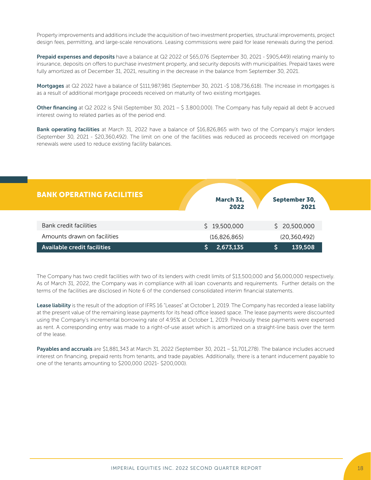Property improvements and additions include the acquisition of two investment properties, structural improvements, project design fees, permitting, and large-scale renovations. Leasing commissions were paid for lease renewals during the period.

Prepaid expenses and deposits have a balance at Q2 2022 of \$65,076 (September 30, 2021 - \$905,449) relating mainly to insurance, deposits on offers to purchase investment property, and security deposits with municipalities. Prepaid taxes were fully amortized as of December 31, 2021, resulting in the decrease in the balance from September 30, 2021.

Mortgages at Q2 2022 have a balance of \$111,987,981 (September 30, 2021 -\$ 108,736,618). The increase in mortgages is as a result of additional mortgage proceeds received on maturity of two existing mortgages.

Other financing at Q2 2022 is \$Nil (September 30, 2021 – \$ 3,800,000). The Company has fully repaid all debt & accrued interest owing to related parties as of the period end.

Bank operating facilities at March 31, 2022 have a balance of \$16,826,865 with two of the Company's major lenders (September 30, 2021 - \$20,360,492). The limit on one of the facilities was reduced as proceeds received on mortgage renewals were used to reduce existing facility balances.

| <b>BANK OPERATING FACILITIES</b>   | <b>March 31,</b><br>2022 | September 30,<br>2021 |
|------------------------------------|--------------------------|-----------------------|
|                                    |                          |                       |
| Bank credit facilities             | 19,500,000<br>S.         | \$20,500,000          |
| Amounts drawn on facilities        | (16,826,865)             | (20, 360, 492)        |
| <b>Available credit facilities</b> | 2,673,135                | 139,508               |

The Company has two credit facilities with two of its lenders with credit limits of \$13,500,000 and \$6,000,000 respectively. As of March 31, 2022, the Company was in compliance with all loan covenants and requirements. Further details on the terms of the facilities are disclosed in Note 6 of the condensed consolidated interim financial statements.

Lease liability is the result of the adoption of IFRS 16 "Leases" at October 1, 2019. The Company has recorded a lease liability at the present value of the remaining lease payments for its head office leased space. The lease payments were discounted using the Company's incremental borrowing rate of 4.95% at October 1, 2019. Previously these payments were expensed as rent. A corresponding entry was made to a right-of-use asset which is amortized on a straight-line basis over the term of the lease.

Payables and accruals are \$1,881,343 at March 31, 2022 (September 30, 2021 – \$1,701,278). The balance includes accrued interest on financing, prepaid rents from tenants, and trade payables. Additionally, there is a tenant inducement payable to one of the tenants amounting to \$200,000 (2021- \$200,000).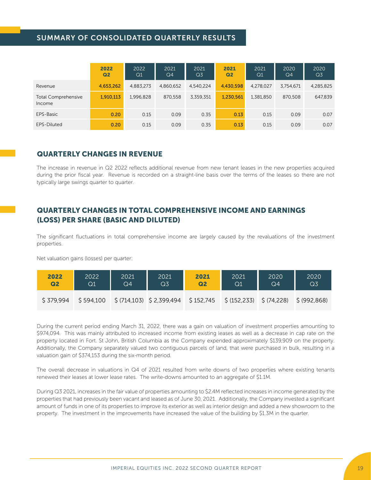# SUMMARY OF CONSOLIDATED QUARTERLY RESULTS

|                                      | 2022<br>Q <sub>2</sub> | 2022<br>Q1 | 2021<br>Q4 | 2021<br>Q <sub>3</sub> | 2021<br>Q <sub>2</sub> | 2021<br>Q1 | 2020<br>Q4 | 2020<br>Q <sub>3</sub> |
|--------------------------------------|------------------------|------------|------------|------------------------|------------------------|------------|------------|------------------------|
| Revenue                              | 4,653,262              | 4,883,273  | 4.860.652  | 4.540.224              | 4.430.598              | 4,278,027  | 3,754,671  | 4,285,825              |
| <b>Total Comprehensive</b><br>Income | 1,910,113              | 1,996,828  | 870,558    | 3,359,351              | 1,230,561              | 1,381,850  | 870,508    | 647,839                |
| EPS-Basic                            | 0.20                   | 0.15       | 0.09       | 0.35                   | 0.13                   | 0.15       | 0.09       | 0.07                   |
| EPS-Diluted                          | 0.20                   | 0.15       | 0.09       | 0.35                   | 0.13                   | 0.15       | 0.09       | 0.07                   |

# QUARTERLY CHANGES IN REVENUE

The increase in revenue in Q2 2022 reflects additional revenue from new tenant leases in the new properties acquired during the prior fiscal year. Revenue is recorded on a straight-line basis over the terms of the leases so there are not typically large swings quarter to quarter.

# QUARTERLY CHANGES IN TOTAL COMPREHENSIVE INCOME AND EARNINGS (LOSS) PER SHARE (BASIC AND DILUTED)

The significant fluctuations in total comprehensive income are largely caused by the revaluations of the investment properties.

Net valuation gains (losses) per quarter:

| 2022           | 2022      | 2021 | 2021                    | 2021           | 2021                                             | 2020           | 2020           |
|----------------|-----------|------|-------------------------|----------------|--------------------------------------------------|----------------|----------------|
| Q <sub>2</sub> | $\rm Q1$  | Q4   | Q <sub>3</sub>          | Q <sub>2</sub> | Q1                                               | Q <sub>4</sub> | Q <sub>3</sub> |
| \$379.994      | \$594,100 |      | \$(714,103) \$2,399,494 |                | $\frac{1}{2}$ \$152,745 \$ (152,233) \$ (74,228) |                | \$ (992,868)   |

During the current period ending March 31, 2022, there was a gain on valuation of investment properties amounting to \$974,094. This was mainly attributed to increased income from existing leases as well as a decrease in cap rate on the property located in Fort. St John, British Columbia as the Company expended approximately \$139,909 on the property. Additionally, the Company separately valued two contiguous parcels of land, that were purchased in bulk, resulting in a valuation gain of \$374,153 during the six-month period.

The overall decrease in valuations in Q4 of 2021 resulted from write downs of two properties where existing tenants renewed their leases at lower lease rates. The write-downs amounted to an aggregate of \$1.1M.

During Q3 2021, increases in the fair value of properties amounting to \$2.4M reflected increases in income generated by the properties that had previously been vacant and leased as of June 30, 2021. Additionally, the Company invested a significant amount of funds in one of its properties to improve its exterior as well as interior design and added a new showroom to the property. The investment in the improvements have increased the value of the building by \$1.3M in the quarter.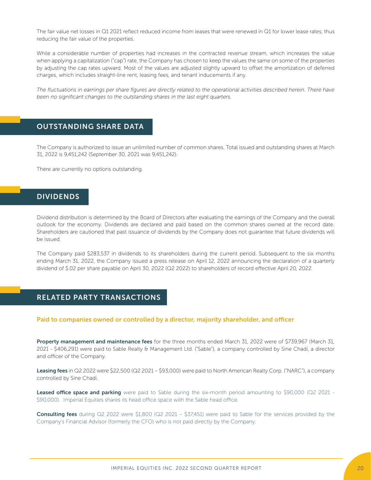The fair value net losses in Q1 2021 reflect reduced income from leases that were renewed in Q1 for lower lease rates, thus reducing the fair value of the properties.

While a considerable number of properties had increases in the contracted revenue stream, which increases the value when applying a capitalization ("cap") rate, the Company has chosen to keep the values the same on some of the properties by adjusting the cap rates upward. Most of the values are adjusted slightly upward to offset the amortization of deferred charges, which includes straight-line rent, leasing fees, and tenant inducements if any.

The fluctuations in earnings per share figures are directly related to the operational activities described herein. There have *been no significant changes to the outstanding shares in the last eight quarters.* 

# OUTSTANDING SHARE DATA

The Company is authorized to issue an unlimited number of common shares. Total issued and outstanding shares at March 31, 2022 is 9,451,242 (September 30, 2021 was 9,451,242).

There are currently no options outstanding.

# DIVIDENDS

Dividend distribution is determined by the Board of Directors after evaluating the earnings of the Company and the overall outlook for the economy. Dividends are declared and paid based on the common shares owned at the record date. Shareholders are cautioned that past issuance of dividends by the Company does not guarantee that future dividends will be issued.

The Company paid \$283,537 in dividends to its shareholders during the current period. Subsequent to the six months ending March 31, 2022, the Company issued a press release on April 12, 2022 announcing the declaration of a quarterly dividend of \$.02 per share payable on April 30, 2022 (Q2 2022) to shareholders of record effective April 20, 2022.

# RELATED PARTY TRANSACTIONS

### Paid to companies owned or controlled by a director, majority shareholder, and officer

Property management and maintenance fees for the three months ended March 31, 2022 were of \$739,967 (March 31, 2021 - \$406,291) were paid to Sable Realty & Management Ltd. ("Sable"), a company controlled by Sine Chadi, a director and officer of the Company.

Leasing fees in Q2 2022 were \$22,500 (Q2 2021 – \$93,000) were paid to North American Realty Corp. ("NARC"), a company controlled by Sine Chadi.

Leased office space and parking were paid to Sable during the six-month period amounting to \$90,000 (Q2 2021 -\$90,000). Imperial Equities shares its head office space with the Sable head office.

**Consulting fees** during Q2 2022 were \$1,800 (Q2 2021 – \$37,451) were paid to Sable for the services provided by the Company's Financial Advisor (formerly the CFO) who is not paid directly by the Company.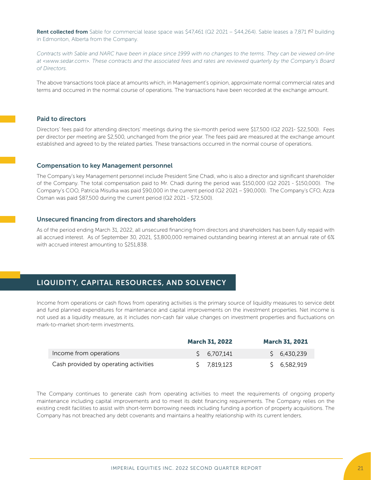Rent collected from Sable for commercial lease space was \$47,461 (Q2 2021 – \$44,264). Sable leases a 7,871 f<sup>t2</sup> building in Edmonton, Alberta from the Company.

*Contracts with Sable and NARC have been in place since 1999 with no changes to the terms. They can be viewed on-line at <www.sedar.com>. These contracts and the associated fees and rates are reviewed quarterly by the Company's Board of Directors.* 

The above transactions took place at amounts which, in Management's opinion, approximate normal commercial rates and terms and occurred in the normal course of operations. The transactions have been recorded at the exchange amount.

### Paid to directors

Directors' fees paid for attending directors' meetings during the six-month period were \$17,500 (Q2 2021- \$22,500). Fees per director per meeting are \$2,500, unchanged from the prior year. The fees paid are measured at the exchange amount established and agreed to by the related parties. These transactions occurred in the normal course of operations.

#### Compensation to key Management personnel

The Company's key Management personnel include President Sine Chadi, who is also a director and significant shareholder of the Company. The total compensation paid to Mr. Chadi during the period was \$150,000 (Q2 2021 - \$150,000). The Company's COO, Patricia Misutka was paid \$90,000 in the current period (Q2 2021 – \$90,000). The Company's CFO, Azza Osman was paid \$87,500 during the current period (Q2 2021 - \$72,500).

### Unsecured financing from directors and shareholders

As of the period ending March 31, 2022, all unsecured financing from directors and shareholders has been fully repaid with all accrued interest. As of September 30, 2021, \$3,800,000 remained outstanding bearing interest at an annual rate of 6% with accrued interest amounting to \$251,838.

# LIQUIDITY, CAPITAL RESOURCES, AND SOLVENCY

Income from operations or cash flows from operating activities is the primary source of liquidity measures to service debt and fund planned expenditures for maintenance and capital improvements on the investment properties. Net income is not used as a liquidity measure, as it includes non-cash fair value changes on investment properties and fluctuations on mark-to-market short-term investments.

|                                       | <b>March 31, 2022</b> | <b>March 31, 2021</b> |
|---------------------------------------|-----------------------|-----------------------|
| Income from operations                | S 6.707.141           | \$6,430,239           |
| Cash provided by operating activities | S 7.819.123           | \$6,582,919           |

The Company continues to generate cash from operating activities to meet the requirements of ongoing property maintenance including capital improvements and to meet its debt financing requirements. The Company relies on the existing credit facilities to assist with short-term borrowing needs including funding a portion of property acquisitions. The Company has not breached any debt covenants and maintains a healthy relationship with its current lenders.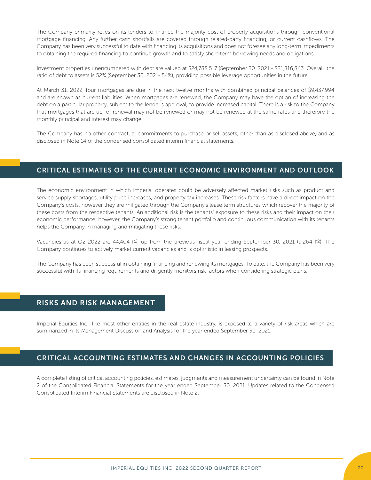The Company primarily relies on its lenders to finance the majority cost of property acquisitions through conventional mortgage financing. Any further cash shortfalls are covered through related-party financing, or current cashflows. The Company has been very successful to date with financing its acquisitions and does not foresee any long-term impediments to obtaining the required financing to continue growth and to satisfy short-term borrowing needs and obligations.

Investment properties unencumbered with debt are valued at \$24,788,517 (September 30, 2021 - \$21,816,843. Overall, the ratio of debt to assets is 52% (September 30, 2021- 54%), providing possible leverage opportunities in the future.

At March 31, 2022, four mortgages are due in the next twelve months with combined principal balances of \$9,437,994 and are shown as current liabilities. When mortgages are renewed, the Company may have the option of increasing the debt on a particular property, subject to the lender's approval, to provide increased capital. There is a risk to the Company that mortgages that are up for renewal may not be renewed or may not be renewed at the same rates and therefore the monthly principal and interest may change.

The Company has no other contractual commitments to purchase or sell assets, other than as disclosed above, and as disclosed in Note 14 of the condensed consolidated interim financial statements.

# CRITICAL ESTIMATES OF THE CURRENT ECONOMIC ENVIRONMENT AND OUTLOOK

The economic environment in which Imperial operates could be adversely affected market risks such as product and service supply shortages, utility price increases, and property tax increases. These risk factors have a direct impact on the Company's costs, however they are mitigated through the Company's lease term structures which recover the majority of these costs from the respective tenants. An additional risk is the tenants' exposure to these risks and their impact on their economic performance; however, the Company's strong tenant portfolio and continuous communication with its tenants helps the Company in managing and mitigating these risks.

Vacancies as at Q2 2022 are 44,404 f<sup>t2</sup>, up from the previous fiscal year ending September 30, 2021 (9,264 ft<sup>2</sup>). The Company continues to actively market current vacancies and is optimistic in leasing prospects.

The Company has been successful in obtaining financing and renewing its mortgages. To date, the Company has been very successful with its financing requirements and diligently monitors risk factors when considering strategic plans.

# RISKS AND RISK MANAGEMENT

Imperial Equities Inc., like most other entities in the real estate industry, is exposed to a variety of risk areas which are summarized in its Management Discussion and Analysis for the year ended September 30, 2021.

# CRITICAL ACCOUNTING ESTIMATES AND CHANGES IN ACCOUNTING POLICIES

A complete listing of critical accounting policies, estimates, judgments and measurement uncertainty can be found in Note 2 of the Consolidated Financial Statements for the year ended September 30, 2021. Updates related to the Condensed Consolidated Interim Financial Statements are disclosed in Note 2.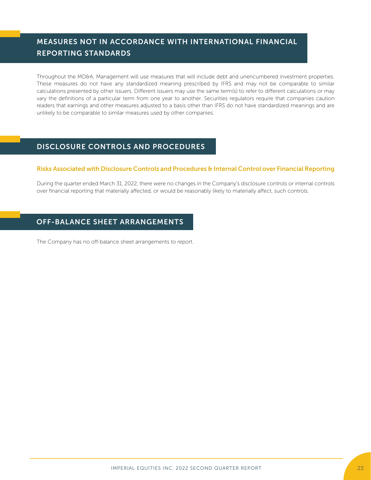# MEASURES NOT IN ACCORDANCE WITH INTERNATIONAL FINANCIAL REPORTING STANDARDS

Throughout the MD&A, Management will use measures that will include debt and unencumbered investment properties. These measures do not have any standardized meaning prescribed by IFRS and may not be comparable to similar calculations presented by other issuers. Different issuers may use the same term(s) to refer to different calculations or may vary the definitions of a particular term from one year to another. Securities regulators require that companies caution readers that earnings and other measures adjusted to a basis other than IFRS do not have standardized meanings and are unlikely to be comparable to similar measures used by other companies.

# DISCLOSURE CONTROLS AND PROCEDURES

# Risks Associated with Disclosure Controls and Procedures & Internal Control over Financial Reporting

During the quarter ended March 31, 2022, there were no changes in the Company's disclosure controls or internal controls over financial reporting that materially affected, or would be reasonably likely to materially affect, such controls.

# OFF-BALANCE SHEET ARRANGEMENTS

The Company has no off-balance sheet arrangements to report.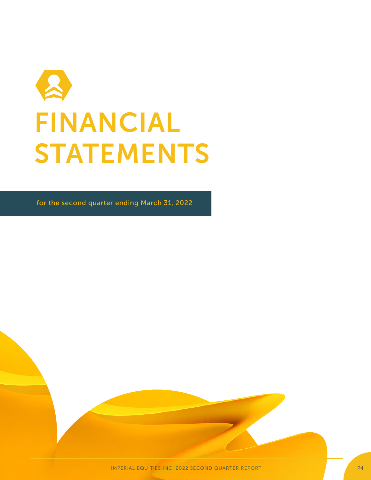

for the second quarter ending March 31, 2022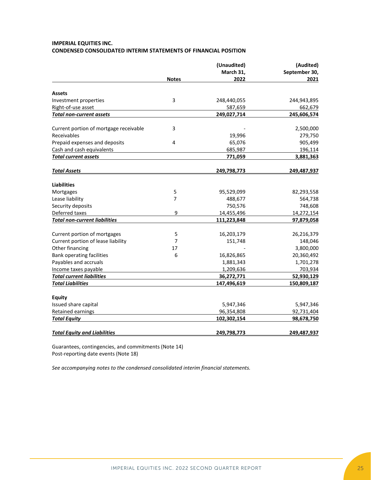# **IMPERIAL EQUITIES INC. CONDENSED CONSOLIDATED INTERIM STATEMENTS OF FINANCIAL POSITION**

|                                        |                | (Unaudited) | (Audited)     |
|----------------------------------------|----------------|-------------|---------------|
|                                        | March 31,      |             | September 30, |
|                                        | <b>Notes</b>   | 2022        | 2021          |
| <b>Assets</b>                          |                |             |               |
| Investment properties                  | 3              | 248,440,055 | 244,943,895   |
| Right-of-use asset                     |                | 587,659     | 662,679       |
| <b>Total non-current assets</b>        |                | 249,027,714 | 245,606,574   |
| Current portion of mortgage receivable | 3              |             | 2,500,000     |
| Receivables                            |                | 19,996      | 279,750       |
| Prepaid expenses and deposits          | 4              | 65,076      | 905,499       |
| Cash and cash equivalents              |                | 685,987     | 196,114       |
| <b>Total current assets</b>            |                | 771,059     | 3,881,363     |
| <b>Total Assets</b>                    |                | 249,798,773 | 249,487,937   |
|                                        |                |             |               |
| <b>Liabilities</b>                     |                |             |               |
| Mortgages                              | 5              | 95,529,099  | 82,293,558    |
| Lease liability                        | $\overline{7}$ | 488,677     | 564,738       |
| Security deposits                      |                | 750,576     | 748,608       |
| Deferred taxes                         | 9              | 14,455,496  | 14,272,154    |
| <b>Total non-current liabilities</b>   |                | 111,223,848 | 97,879,058    |
| Current portion of mortgages           | 5              | 16,203,179  | 26,216,379    |
| Current portion of lease liability     | 7              | 151,748     | 148,046       |
| Other financing                        | 17             |             | 3,800,000     |
| <b>Bank operating facilities</b>       | 6              | 16,826,865  | 20,360,492    |
| Payables and accruals                  |                | 1,881,343   | 1,701,278     |
| Income taxes payable                   |                | 1,209,636   | 703,934       |
| <b>Total current liabilities</b>       |                | 36,272,771  | 52,930,129    |
| <b>Total Liabilities</b>               |                | 147,496,619 | 150,809,187   |
| <b>Equity</b>                          |                |             |               |
| Issued share capital                   |                | 5,947,346   | 5,947,346     |
| Retained earnings                      |                | 96,354,808  | 92,731,404    |
| <b>Total Equity</b>                    |                | 102,302,154 | 98,678,750    |
| <b>Total Equity and Liabilities</b>    |                | 249,798,773 | 249,487,937   |

Guarantees, contingencies, and commitments (Note 14) Post-reporting date events (Note 18)

*See accompanying notes to the condensed consolidated interim financial statements.*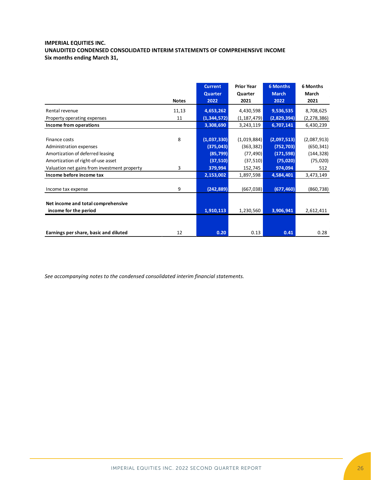# **IMPERIAL EQUITIES INC. UNAUDITED CONDENSED CONSOLIDATED INTERIM STATEMENTS OF COMPREHENSIVE INCOME Six months ending March 31,**

|                                              |              | <b>Current</b><br><b>Quarter</b> | <b>Prior Year</b><br>Quarter | <b>6 Months</b><br><b>March</b> | 6 Months<br>March |
|----------------------------------------------|--------------|----------------------------------|------------------------------|---------------------------------|-------------------|
|                                              | <b>Notes</b> | 2022                             | 2021                         | 2022                            | 2021              |
| Rental revenue                               | 11,13        | 4,653,262                        | 4,430,598                    | 9,536,535                       | 8,708,625         |
| Property operating expenses                  | 11           | (1, 344, 572)                    | (1, 187, 479)                | (2,829,394)                     | (2, 278, 386)     |
| Income from operations                       |              | 3,308,690                        | 3,243,119                    | 6,707,141                       | 6,430,239         |
|                                              |              |                                  |                              |                                 |                   |
| Finance costs                                | 8            | (1,037,330)                      | (1,019,884)                  | (2,097,513)                     | (2,087,913)       |
| Administration expenses                      |              | (375, 043)                       | (363, 382)                   | (752, 703)                      | (650, 341)        |
| Amortization of deferred leasing             |              | (85, 799)                        | (77, 490)                    | (171, 598)                      | (144, 328)        |
| Amortization of right-of-use asset           |              | (37, 510)                        | (37, 510)                    | (75, 020)                       | (75, 020)         |
| Valuation net gains from investment property | 3            | 379,994                          | 152,745                      | 974,094                         | 512               |
| Income before income tax                     |              | 2,153,002                        | 1,897,598                    | 4,584,401                       | 3,473,149         |
| Income tax expense                           | 9            | (242, 889)                       | (667, 038)                   | (677, 460)                      | (860, 738)        |
|                                              |              |                                  |                              |                                 |                   |
| Net income and total comprehensive           |              |                                  |                              |                                 |                   |
| income for the period                        |              | 1,910,113                        | 1,230,560                    | 3,906,941                       | 2,612,411         |
|                                              |              |                                  |                              |                                 |                   |
| Earnings per share, basic and diluted        | 12           | 0.20                             | 0.13                         | 0.41                            | 0.28              |

*See accompanying notes to the condensed consolidated interim financial statements.*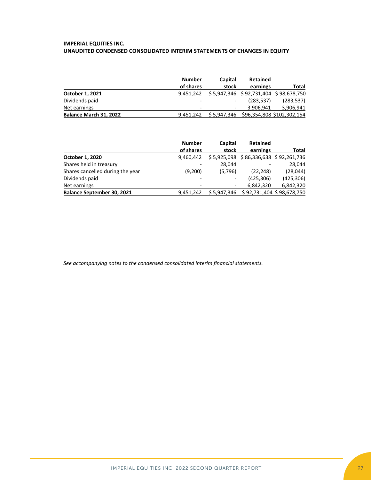# **IMPERIAL EQUITIES INC. UNAUDITED CONDENSED CONSOLIDATED INTERIM STATEMENTS OF CHANGES IN EQUITY**

|                        | <b>Number</b>            | Capital | <b>Retained</b> |                                        |
|------------------------|--------------------------|---------|-----------------|----------------------------------------|
|                        | of shares                | stock   | earnings        | Total                                  |
| October 1, 2021        | 9.451.242                |         |                 | \$5,947,346 \$92,731,404 \$98,678,750  |
| Dividends paid         |                          |         | (283, 537)      | (283, 537)                             |
| Net earnings           | $\overline{\phantom{0}}$ |         | 3.906.941       | 3,906,941                              |
| Balance March 31, 2022 | 9.451.242                |         |                 | \$5,947,346 \$96,354,808 \$102,302,154 |

|                                   | <b>Number</b>            | Capital | <b>Retained</b>                       |            |
|-----------------------------------|--------------------------|---------|---------------------------------------|------------|
|                                   | of shares                | stock   | earnings                              | Total      |
| October 1, 2020                   | 9.460.442                |         | \$5,925,098 \$86,336,638 \$92,261,736 |            |
| Shares held in treasury           | $\overline{\phantom{0}}$ | 28,044  |                                       | 28.044     |
| Shares cancelled during the year  | (9,200)                  | (5,796) | (22, 248)                             | (28, 044)  |
| Dividends paid                    |                          |         | (425, 306)                            | (425, 306) |
| Net earnings                      | $\overline{\phantom{a}}$ |         | 6.842.320                             | 6,842,320  |
| <b>Balance September 30, 2021</b> | 9.451.242                |         | \$5,947,346 \$92,731,404 \$98,678,750 |            |

*See accompanying notes to the condensed consolidated interim financial statements.*

IMPERIAL EQUITIES INC. 2022 SECOND QUARTER REPORT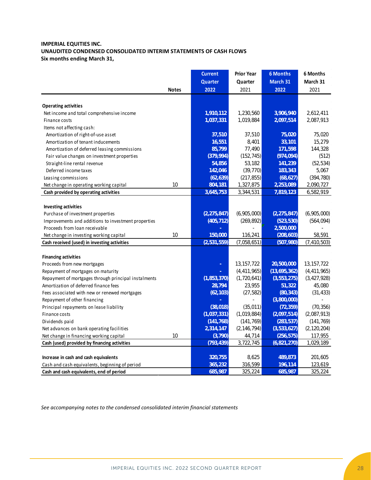# **IMPERIAL EQUITIES INC. UNAUDITED CONDENSED CONSOLIDATED INTERIM STATEMENTS OF CASH FLOWS Six months ending March 31,**

|                                                      | <b>Current</b> | <b>Prior Year</b> | <b>6 Months</b> | 6 Months      |
|------------------------------------------------------|----------------|-------------------|-----------------|---------------|
|                                                      | Quarter        | Quarter           | March 31        | March 31      |
| <b>Notes</b>                                         | 2022           | 2021              | 2022            | 2021          |
|                                                      |                |                   |                 |               |
| <b>Operating activities</b>                          |                |                   |                 |               |
| Net income and total comprehensive income            | 1,910,112      | 1,230,560         | 3,906,940       | 2,612,411     |
| Finance costs                                        | 1,037,331      | 1,019,884         | 2,097,514       | 2,087,913     |
| Items not affecting cash:                            |                |                   |                 |               |
| Amortization of right-of-use asset                   | 37,510         | 37,510            | 75,020          | 75,020        |
| Amortization of tenant inducements                   | 16,551         | 8,401             | 33,101          | 15,279        |
| Amortization of deferred leasing commissions         | 85,799         | 77,490            | 171,598         | 144,328       |
| Fair value changes on investment properties          | (379, 994)     | (152, 745)        | (974, 094)      | (512)         |
| Straight-line rental revenue                         | 54,856         | 53,182            | 141,239         | (52, 534)     |
| Deferred income taxes                                | 142,046        | (39, 770)         | 183,343         | 5,067         |
| Leasing commissions                                  | (62, 639)      | (217, 855)        | (68, 627)       | (394, 780)    |
| 10<br>Net change in operating working capital        | 804,181        | 1,327,875         | 2,253,089       | 2,090,727     |
| Cash provided by operating activities                | 3,645,753      | 3,344,531         | 7,819,123       | 6,582,919     |
|                                                      |                |                   |                 |               |
| <b>Investing activities</b>                          |                |                   |                 |               |
| Purchase of investment properties                    | (2, 275, 847)  | (6,905,000)       | (2, 275, 847)   | (6,905,000)   |
| Improvements and additions to investment properties  | (405, 712)     | (269, 892)        | (523, 530)      | (564, 094)    |
| Proceeds from loan receivable                        |                |                   | 2,500,000       |               |
| 10<br>Net change in investing working capital        | 150,000        | 116,241           | (208, 603)      | 58,591        |
| Cash received (used) in investing activities         | (2,531,559)    | (7,058,651)       | (507, 980)      | (7, 410, 503) |
|                                                      |                |                   |                 |               |
| <b>Financing activities</b>                          |                |                   |                 |               |
| Proceeds from new mortgages                          | ٠              | 13, 157, 722      | 20,500,000      | 13, 157, 722  |
| Repayment of mortgages on maturity                   |                | (4, 411, 965)     | (13,695,362)    | (4, 411, 965) |
| Repayment of mortgages through principal instalments | (1, 853, 370)  | (1,720,641)       | (3, 553, 275)   | (3, 427, 928) |
| Amortization of deferred finance fees                | 28,794         | 23,955            | 51,322          | 45,080        |
| Fees associated with new or renewed mortgages        | (62, 103)      | (27, 582)         | (80, 343)       | (31, 433)     |
| Repayment of other financing                         |                |                   | (3,800,000)     |               |
| Principal repayments on lease liability              | (38,018)       | (35,011)          | (72, 359)       | (70, 356)     |
| Finance costs                                        | (1,037,331)    | (1,019,884)       | (2,097,514)     | (2,087,913)   |
| Dividends paid                                       | (141, 768)     | (141, 769)        | (283, 537)      | (141, 769)    |
| Net advances on bank operating facilities            | 2,314,147      | (2, 146, 794)     | (3,533,627)     | (2, 120, 204) |
| 10<br>Net change in financing working capital        | (3,790)        | 44,714            | (256, 575)      | 117,955       |
| Cash (used) provided by financing activities         | (793, 439)     | 3,722,745         | (6,821,270)     | 1,029,189     |
|                                                      |                |                   |                 |               |
| Increase in cash and cash equivalents                | 320,755        | 8,625             | 489,873         | 201,605       |
| Cash and cash equivalents, beginning of period       | 365,232        | 316,599           | 196,114         | 123,619       |
| Cash and cash equivalents, end of period             | 685,987        | 325,224           | 685,987         | 325,224       |

*See accompanying notes to the condensed consolidated interim financial statements*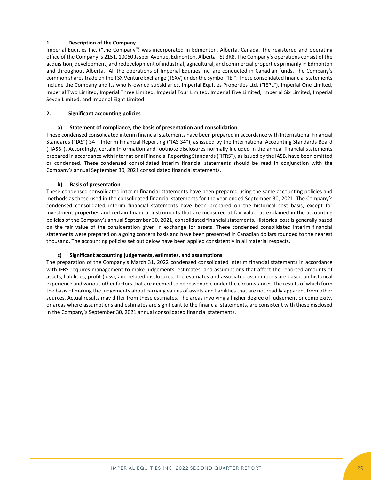### **1. Description of the Company**

Imperial Equities Inc. ("the Company") was incorporated in Edmonton, Alberta, Canada. The registered and operating office of the Company is 2151, 10060 Jasper Avenue, Edmonton, Alberta T5J 3R8. The Company's operations consist of the acquisition, development, and redevelopment of industrial, agricultural, and commercial properties primarily in Edmonton and throughout Alberta. All the operations of Imperial Equities Inc. are conducted in Canadian funds. The Company's common shares trade on the TSX Venture Exchange (TSXV) under the symbol "IEI". These consolidated financial statements include the Company and its wholly-owned subsidiaries, Imperial Equities Properties Ltd. ("IEPL"), Imperial One Limited, Imperial Two Limited, Imperial Three Limited, Imperial Four Limited, Imperial Five Limited, Imperial Six Limited, Imperial Seven Limited, and Imperial Eight Limited.

### **2. Significant accounting policies**

### **a) Statement of compliance, the basis of presentation and consolidation**

These condensed consolidated interim financial statements have been prepared in accordance with International Financial Standards ("IAS") 34 – Interim Financial Reporting ("IAS 34"), as issued by the International Accounting Standards Board ("IASB"). Accordingly, certain information and footnote disclosures normally included in the annual financial statements prepared in accordance with International Financial Reporting Standards ("IFRS"), as issued by the IASB, have been omitted or condensed. These condensed consolidated interim financial statements should be read in conjunction with the Company's annual September 30, 2021 consolidated financial statements.

### **b) Basis of presentation**

These condensed consolidated interim financial statements have been prepared using the same accounting policies and methods as those used in the consolidated financial statements for the year ended September 30, 2021. The Company's condensed consolidated interim financial statements have been prepared on the historical cost basis, except for investment properties and certain financial instruments that are measured at fair value, as explained in the accounting policies of the Company's annual September 30, 2021, consolidated financial statements. Historical cost is generally based on the fair value of the consideration given in exchange for assets. These condensed consolidated interim financial statements were prepared on a going concern basis and have been presented in Canadian dollars rounded to the nearest thousand. The accounting policies set out below have been applied consistently in all material respects.

### **c) Significant accounting judgements, estimates, and assumptions**

The preparation of the Company's March 31, 2022 condensed consolidated interim financial statements in accordance with IFRS requires management to make judgements, estimates, and assumptions that affect the reported amounts of assets, liabilities, profit (loss), and related disclosures. The estimates and associated assumptions are based on historical experience and various other factors that are deemed to be reasonable under the circumstances, the results of which form the basis of making the judgements about carrying values of assets and liabilities that are not readily apparent from other sources. Actual results may differ from these estimates. The areas involving a higher degree of judgement or complexity, or areas where assumptions and estimates are significant to the financial statements, are consistent with those disclosed in the Company's September 30, 2021 annual consolidated financial statements.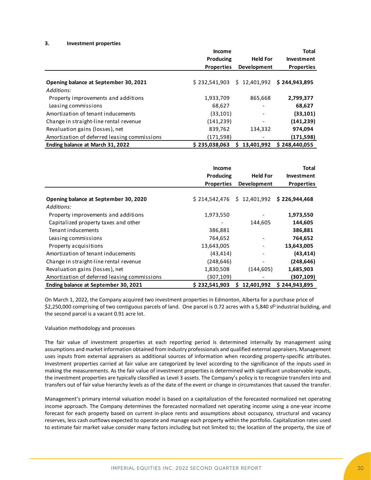#### **3. Investment properties**

|                                              | Income            |                    | <b>Total</b>      |
|----------------------------------------------|-------------------|--------------------|-------------------|
|                                              | Producing         | <b>Held For</b>    | Investment        |
|                                              | <b>Properties</b> | <b>Development</b> | <b>Properties</b> |
| Opening balance at September 30, 2021        | \$232,541,903     | \$12,401,992       | \$244,943,895     |
| Additions:                                   |                   |                    |                   |
| Property improvements and additions          | 1,933,709         | 865,668            | 2,799,377         |
| Leasing commissions                          | 68,627            |                    | 68,627            |
| Amortization of tenant inducements           | (33, 101)         |                    | (33, 101)         |
| Change in straight-line rental revenue       | (141, 239)        |                    | (141, 239)        |
| Revaluation gains (losses), net              | 839,762           | 134,332            | 974,094           |
| Amortization of deferred leasing commissions | (171, 598)        |                    | (171,598)         |
| Ending balance at March 31, 2022             | \$235,038,063     | 13,401,992         | \$248,440,055     |

|                                                     | <b>Income</b><br>Producing<br><b>Properties</b> | <b>Held For</b><br><b>Development</b> | <b>Total</b><br>Investment<br><b>Properties</b> |
|-----------------------------------------------------|-------------------------------------------------|---------------------------------------|-------------------------------------------------|
| Opening balance at September 30, 2020<br>Additions: | \$214,542,476                                   | \$12,401,992                          | \$226,944,468                                   |
| Property improvements and additions                 | 1,973,550                                       |                                       | 1,973,550                                       |
| Capitalized property taxes and other                |                                                 | 144,605                               | 144,605                                         |
| Tenant inducements                                  | 386,881                                         |                                       | 386,881                                         |
| Leasing commissions                                 | 764,652                                         |                                       | 764,652                                         |
| Property acquisitions                               | 13,643,005                                      |                                       | 13,643,005                                      |
| Amortization of tenant inducements                  | (43, 414)                                       |                                       | (43, 414)                                       |
| Change in straight-line rental revenue              | (248, 646)                                      |                                       | (248, 646)                                      |
| Revaluation gains (losses), net                     | 1,830,508                                       | (144, 605)                            | 1,685,903                                       |
| Amortization of deferred leasing commissions        | (307,109)                                       |                                       | (307,109)                                       |
| Ending balance at September 30, 2021                | \$232,541,903                                   | 12,401,992<br>S                       | \$244,943,895                                   |

On March 1, 2022, the Company acquired two investment properties in Edmonton, Alberta for a purchase price of \$2,250,000 comprising of two contiguous parcels of land. One parcel is 0.72 acres with a 5,840 sf<sup>2</sup> industrial building, and the second parcel is a vacant 0.91 acre lot.

#### Valuation methodology and processes

The fair value of investment properties at each reporting period is determined internally by management using assumptions and market information obtained from industry professionals and qualified external appraisers. Management uses inputs from external appraisers as additional sources of information when recording property-specific attributes. Investment properties carried at fair value are categorized by level according to the significance of the inputs used in making the measurements. As the fair value of investment properties is determined with significant unobservable inputs, the investment properties are typically classified as Level 3 assets. The Company's policy is to recognize transfers into and transfers out of fair value hierarchy levels as of the date of the event or change in circumstances that caused the transfer.

Management's primary internal valuation model is based on a capitalization of the forecasted normalized net operating income approach. The Company determines the forecasted normalized net operating income using a one-year income forecast for each property based on current in-place rents and assumptions about occupancy, structural and vacancy reserves, less cash outflows expected to operate and manage each property within the portfolio. Capitalization rates used to estimate fair market value consider many factors including but not limited to; the location of the property, the size of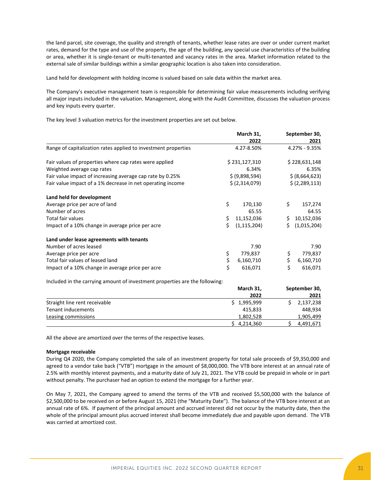the land parcel, site coverage, the quality and strength of tenants, whether lease rates are over or under current market rates, demand for the type and use of the property, the age of the building, any special use characteristics of the building or area, whether it is single-tenant or multi-tenanted and vacancy rates in the area. Market information related to the external sale of similar buildings within a similar geographic location is also taken into consideration.

Land held for development with holding income is valued based on sale data within the market area.

The Company's executive management team is responsible for determining fair value measurements including verifying all major inputs included in the valuation. Management, along with the Audit Committee, discusses the valuation process and key inputs every quarter.

The key level 3 valuation metrics for the investment properties are set out below.

|                                                                             |    | March 31,       |    | September 30,  |
|-----------------------------------------------------------------------------|----|-----------------|----|----------------|
|                                                                             |    | 2022            |    | 2021           |
| Range of capitalization rates applied to investment properties              |    | 4.27-8.50%      |    | 4.27% - 9.35%  |
| Fair values of properties where cap rates were applied                      |    | \$231,127,310   |    | \$228,631,148  |
| Weighted average cap rates                                                  |    | 6.34%           |    | 6.35%          |
| Fair value impact of increasing average cap rate by 0.25%                   |    | \$ (9,898,594)  |    | \$ (8,664,623) |
| Fair value impact of a 1% decrease in net operating income                  |    | \$ (2,314,079)  |    | \$ (2,289,113) |
| Land held for development                                                   |    |                 |    |                |
| Average price per acre of land                                              | \$ | 170,130         | \$ | 157,274        |
| Number of acres                                                             |    | 65.55           |    | 64.55          |
| <b>Total fair values</b>                                                    | \$ | 11,152,036      | \$ | 10,152,036     |
| Impact of a 10% change in average price per acre                            | Ś  | (1, 115, 204)   | Ś. | (1,015,204)    |
| Land under lease agreements with tenants                                    |    |                 |    |                |
| Number of acres leased                                                      |    | 7.90            |    | 7.90           |
| Average price per acre                                                      | \$ | 779,837         | \$ | 779,837        |
| Total fair values of leased land                                            | \$ | 6,160,710       | \$ | 6,160,710      |
| Impact of a 10% change in average price per acre                            | \$ | 616,071         | Ś  | 616,071        |
| Included in the carrying amount of investment properties are the following: |    |                 |    |                |
|                                                                             |    | March 31,       |    | September 30,  |
|                                                                             |    | 2022            |    | 2021           |
| Straight line rent receivable                                               |    | 1,995,999<br>Ś. | \$ | 2,137,238      |
| <b>Tenant inducements</b>                                                   |    | 415,833         |    | 448,934        |

All the above are amortized over the terms of the respective leases.

#### **Mortgage receivable**

During Q4 2020, the Company completed the sale of an investment property for total sale proceeds of \$9,350,000 and agreed to a vendor take back ("VTB") mortgage in the amount of \$8,000,000. The VTB bore interest at an annual rate of 2.5% with monthly interest payments, and a maturity date of July 21, 2021. The VTB could be prepaid in whole or in part without penalty. The purchaser had an option to extend the mortgage for a further year.

\$ 4,214,360 \$ 4,491,671

Leasing commissions 1,802,528 1,905

On May 7, 2021, the Company agreed to amend the terms of the VTB and received \$5,500,000 with the balance of \$2,500,000 to be received on or before August 15, 2021 (the "Maturity Date"). The balance of the VTB bore interest at an annual rate of 6%. If payment of the principal amount and accrued interest did not occur by the maturity date, then the whole of the principal amount plus accrued interest shall become immediately due and payable upon demand. The VTB was carried at amortized cost.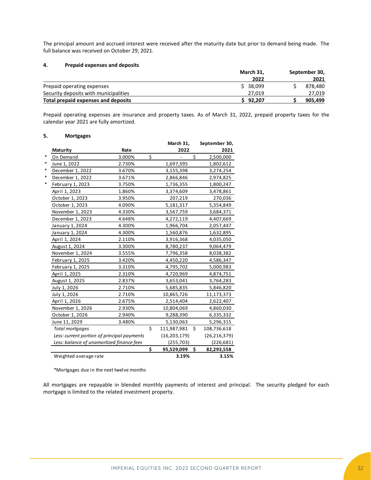The principal amount and accrued interest were received after the maturity date but prior to demand being made. The full balance was received on October 29, 2021.

### **4. Prepaid expenses and deposits**

|                                       | March 31, | September 30, |         |  |
|---------------------------------------|-----------|---------------|---------|--|
|                                       | 2022      |               | 2021    |  |
| Prepaid operating expenses            | \$38,099  |               | 878.480 |  |
| Security deposits with municipalities | 27.019    |               | 27,019  |  |
| Total prepaid expenses and deposits   | 92.207    |               | 905.499 |  |

Prepaid operating expenses are insurance and property taxes. As of March 31, 2022, prepaid property taxes for the calendar year 2021 are fully amortized.

#### **5. Mortgages**

|                                             |        |    | March 31,      | September 30,     |
|---------------------------------------------|--------|----|----------------|-------------------|
| <b>Maturity</b>                             | Rate   |    | 2022           | 2021              |
| On Demand                                   | 3.000% | \$ |                | \$<br>2,500,000   |
| June 1, 2022                                | 2.730% |    | 1,697,395      | 1,802,612         |
| December 1, 2022                            | 3.670% |    | 3,155,398      | 3,274,254         |
| December 1, 2022                            | 3.671% |    | 2,866,846      | 2,974,825         |
| February 1, 2023                            | 3.750% |    | 1,736,355      | 1,800,247         |
| April 1, 2023                               | 1.860% |    | 3,374,609      | 3,478,861         |
| October 1, 2023                             | 3.950% |    | 207,219        | 270,036           |
| October 1, 2023                             | 4.090% |    | 5,181,317      | 5,354,849         |
| November 1, 2023                            | 4.330% |    | 3,567,759      | 3,684,371         |
| December 1, 2023                            | 4.648% |    | 4,272,119      | 4,407,669         |
| January 1, 2024                             | 4.300% |    | 1,966,704      | 2,057,447         |
| January 1, 2024                             | 4.300% |    | 1,560,876      | 1,632,895         |
| April 1, 2024                               | 2.110% |    | 3,916,368      | 4,035,050         |
| August 1, 2024                              | 3.300% |    | 8,780,237      | 9,064,479         |
| November 1, 2024                            | 3.555% |    | 7,796,358      | 8,038,382         |
| February 1, 2025                            | 3.420% |    | 4,450,220      | 4,586,347         |
| February 1, 2025                            | 3.310% |    | 4,795,702      | 5,000,983         |
| April 1, 2025                               | 2.310% |    | 4,720,969      | 4,874,751         |
| August 1, 2025                              | 2.837% |    | 3,653,041      | 3,764,283         |
| July 1, 2026                                | 2.710% |    | 5,685,835      | 5,846,820         |
| July 1, 2026                                | 2.710% |    | 10,865,726     | 11,173,373        |
| April 1, 2026                               | 2.675% |    | 2,514,404      | 2,622,407         |
| November 1, 2026                            | 2.930% |    | 10,804,069     | 4,860,030         |
| October 1, 2026                             | 2.940% |    | 9,288,390      | 6,335,332         |
| June 11, 2029                               | 3.480% |    | 5,130,063      | 5,296,315         |
| Total mortgages                             |        | Ś  | 111,987,981    | \$<br>108,736,618 |
| Less: current portion of principal payments |        |    | (16, 203, 179) | (26, 216, 379)    |
| Less: balance of unamortized finance fees   |        |    | (255, 703)     | (226, 681)        |
|                                             |        | \$ | 95,529,099     | \$<br>82,293,558  |
| Weighted average rate                       |        |    | 3.19%          | 3.15%             |

\*Mortgages due in the next twelve months

All mortgages are repayable in blended monthly payments of interest and principal. The security pledged for each mortgage is limited to the related investment property.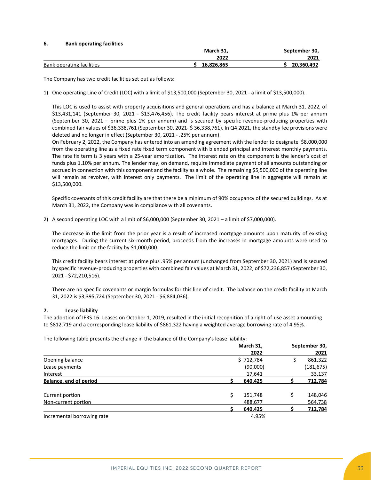### **6. Bank operating facilities**

|                           | March 31.  | September 30, |
|---------------------------|------------|---------------|
|                           | 2022       | 2021          |
| Bank operating facilities | 16.826.865 | 20,360,492    |

The Company has two credit facilities set out as follows:

1) One operating Line of Credit (LOC) with a limit of \$13,500,000 (September 30, 2021 - a limit of \$13,500,000).

This LOC is used to assist with property acquisitions and general operations and has a balance at March 31, 2022, of \$13,431,141 (September 30, 2021 - \$13,476,456). The credit facility bears interest at prime plus 1% per annum (September 30, 2021 – prime plus 1% per annum) and is secured by specific revenue-producing properties with combined fair values of \$36,338,761 (September 30, 2021- \$ 36,338,761). In Q4 2021, the standby fee provisions were deleted and no longer in effect (September 30, 2021 - .25% per annum).

On February 2, 2022, the Company has entered into an amending agreement with the lender to designate \$8,000,000 from the operating line as a fixed rate fixed term component with blended principal and interest monthly payments. The rate fix term is 3 years with a 25-year amortization. The interest rate on the component is the lender's cost of funds plus 1.10% per annum. The lender may, on demand, require immediate payment of all amounts outstanding or accrued in connection with this component and the facility as a whole. The remaining \$5,500,000 of the operating line will remain as revolver, with interest only payments. The limit of the operating line in aggregate will remain at \$13,500,000.

Specific covenants of this credit facility are that there be a minimum of 90% occupancy of the secured buildings. As at March 31, 2022, the Company was in compliance with all covenants.

2) A second operating LOC with a limit of \$6,000,000 (September 30, 2021 – a limit of \$7,000,000).

The decrease in the limit from the prior year is a result of increased mortgage amounts upon maturity of existing mortgages. During the current six-month period, proceeds from the increases in mortgage amounts were used to reduce the limit on the facility by \$1,000,000.

This credit facility bears interest at prime plus .95% per annum (unchanged from September 30, 2021) and is secured by specific revenue-producing properties with combined fair values at March 31, 2022, of \$72,236,857 (September 30, 2021 - \$72,210,516).

There are no specific covenants or margin formulas for this line of credit. The balance on the credit facility at March 31, 2022 is \$3,395,724 (September 30, 2021 - \$6,884,036).

### **7. Lease liability**

The adoption of IFRS 16- Leases on October 1, 2019, resulted in the initial recognition of a right-of-use asset amounting to \$812,719 and a corresponding lease liability of \$861,322 having a weighted average borrowing rate of 4.95%.

The following table presents the change in the balance of the Company's lease liability:

|                            | March 31,     |    | September 30, |
|----------------------------|---------------|----|---------------|
|                            | 2022          |    | 2021          |
| Opening balance            | \$712,784     | \$ | 861,322       |
| Lease payments             | (90,000)      |    | (181, 675)    |
| Interest                   | 17,641        |    | 33,137        |
| Balance, end of period     | 640,425       |    | 712,784       |
| Current portion            | Ś.<br>151,748 | Ś  | 148,046       |
| Non-current portion        | 488,677       |    | 564,738       |
|                            | 640,425       |    | 712,784       |
| Incremental borrowing rate | 4.95%         |    |               |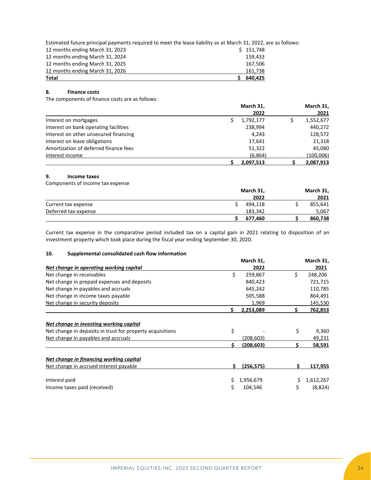Estimated future principal payments required to meet the lease liability as at March 31, 2022, are as follows:

| Total                           |           |
|---------------------------------|-----------|
| 12 months ending March 31, 2026 | 161,738   |
| 12 months ending March 31, 2025 | 167.506   |
| 12 months ending March 31, 2024 | 159.433   |
| 12 months ending March 31, 2023 | \$151,748 |

### **8. Finance costs**

The components of finance costs are as follows:

|                                       | March 31, |           | March 31,  |  |
|---------------------------------------|-----------|-----------|------------|--|
|                                       |           | 2022      | 2021       |  |
| Interest on mortgages                 |           | 1,792,177 | 1,552,677  |  |
| Interest on bank operating facilities |           | 238,994   | 440,272    |  |
| Interest on other unsecured financing |           | 4,243     | 128,572    |  |
| Interest on lease obligations         |           | 17,641    | 21,318     |  |
| Amortization of deferred finance fees |           | 51,322    | 45,080     |  |
| Interest income                       |           | (6,864)   | (100, 006) |  |
|                                       |           | 2.097.513 | 2.087.913  |  |

### **9. Income taxes**

Components of income tax expense

|                      | March 31, | March 31, |
|----------------------|-----------|-----------|
|                      | 2022      | 2021      |
| Current tax expense  | 494.118   | 855,641   |
| Deferred tax expense | 183,342   | 5,067     |
|                      | 677.460   | 860,738   |

Current tax expense in the comparative period included tax on a capital gain in 2021 relating to disposition of an investment property which took place during the fiscal year ending September 30, 2020.

# **10. Supplemental consolidated cash flow information**

|                                                           |    | March 31,  |    | March 31, |
|-----------------------------------------------------------|----|------------|----|-----------|
| Net change in operating working capital                   |    | 2022       |    | 2021      |
| Net change in receivables                                 | \$ | 259,867    | Ś. | 248,206   |
| Net change in prepaid expenses and deposits               |    | 840,423    |    | 721,715   |
| Net change in payables and accruals                       |    | 645,242    |    | 110,785   |
| Net change in income taxes payable                        |    | 505,588    |    | 864,491   |
| Net change in security deposits                           |    | 1,969      |    | 145,530   |
|                                                           |    | 2,253,089  | S. | 762,853   |
| Net change in investing working capital                   |    |            |    |           |
| Net change in deposits in trust for property acquisitions | \$ |            | \$ | 9,360     |
| Net change in payables and accruals                       |    | (208.603)  |    | 49,231    |
|                                                           | ς  | (208, 603) | ς  | 58,591    |
| Net change in financing working capital                   |    |            |    |           |
| Net change in accrued interest payable                    | S. | (256, 575) | \$ | 117,955   |
| Interest paid                                             |    | 1,956,679  | \$ | 1,612,267 |
| Income taxes paid (received)                              | Ś  | 104,546    | \$ | (8,824)   |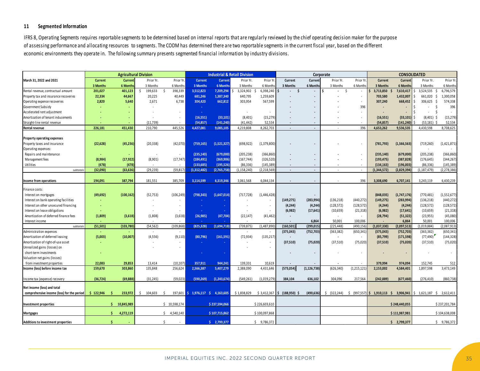### **11 Segmented Information**

Valuation net gains (losses)

**11 Segmented Information** of assessing performance and allocating resources to segments. The CODM has determined there are two reportable segments in the current fiscal year, based on the different economic environments they operate in. The following summary presents segmented financial information by industry divisions. IFRS 8, Operating Segments requires reportable segments to be determined based on internal reports that are regularly reviewed by the chief operating decision maker for the purpose

| March 31, 2022 and 2021                                                        |                |                  |           |               |                                   |                | <b>Industrial &amp; Retail Division</b> |               |                                                           | Corporate     |                          |               |                                                                                                               | <b>CONSOLIDATED</b> |                        |                          |
|--------------------------------------------------------------------------------|----------------|------------------|-----------|---------------|-----------------------------------|----------------|-----------------------------------------|---------------|-----------------------------------------------------------|---------------|--------------------------|---------------|---------------------------------------------------------------------------------------------------------------|---------------------|------------------------|--------------------------|
|                                                                                | Current        | Current          | Prior Yr. | Prior Yr      | <b>Current</b>                    | <b>Current</b> | Prior Yr.                               | Prior Y       | Current                                                   | Curren        | Prior Yr.                | Prior Yr      | Current                                                                                                       | Curren              | Prior Yr.              | Prior Yr.                |
|                                                                                | 3 Months       | 6 Months         | 3 Months  | 6 Month       | 3 Months                          | 6 Month        | 3 Months                                | 6 Months      | 3 Months                                                  | 6 Month       | 3 Months                 | 6 Month       | 3 Months                                                                                                      | 6 Month             | 3 Months               | 6 Months                 |
| Rental revenue, contractual amount                                             | 201,027        | 401,123          | 199,633   | 398,339       | 3,512,823                         | 7,209,294      | 3,324,902                               | 6,398,240     | - S                                                       | $\sim$        | $\sim$                   |               | 3,713,850                                                                                                     | 7,610,417           |                        | 3,524,535 \$ 6,796,579   |
| Property tax and insurance recoveries                                          | 22,334         | 44,667           | 20,225    | 40.449        | 681.246                           | 1.387.340      | 640,795                                 | 1,259,609     |                                                           |               |                          |               | 703,580                                                                                                       | 1.432.007           | 661.020<br>- Ś         | 1,300,058                |
| Operating expense recoveries                                                   | 2,820          | 5,640            | 2,671     | 6.738         | 304,420                           | 662,812        | 303,954                                 | 567,599       |                                                           | $\sim$        |                          |               | 307.240                                                                                                       | 668,452             | 306.625 \$             | 574,338                  |
| Government Subsidy                                                             |                |                  |           |               |                                   |                |                                         |               |                                                           |               |                          | 396           |                                                                                                               |                     |                        | 396                      |
| Accelerated rent adjustment                                                    |                |                  |           |               |                                   |                |                                         | $\sim$        |                                                           | $\sim$        |                          |               | $\sim$                                                                                                        |                     |                        | $\sim$                   |
| Amortization of tenant inducements                                             |                |                  | $\sim$    |               | (16,551)                          | (33, 101)      | (8,401)                                 | (15, 279)     |                                                           | $\sim$        |                          |               | (16, 551)                                                                                                     | (33, 101)           | $(8,401)$ \$           | (15, 279)                |
| Straight-line rental revenue                                                   |                |                  | (11, 739) |               | (54.857)                          | (141, 240)     | (41.442)                                | 52.534        |                                                           | $\sim$        |                          |               | (54.857)                                                                                                      | (141.240            | $(53.181)$ \$          | 52,534                   |
| <b>Rental revenue</b>                                                          | 226.181        | 451.430          | 210,790   | 445.526       | 4,427,081                         | 9.085.105      | 4.219.808                               | 8,262,703     | $\sim$                                                    | $\sim$        | $\sim$                   | 396           | 4.653.262                                                                                                     | 9,536,535           | 4.430.598              | 8,708,625                |
|                                                                                |                |                  |           |               |                                   |                |                                         |               |                                                           |               |                          |               |                                                                                                               |                     |                        |                          |
| <b>Property operating expenses</b>                                             |                |                  |           |               |                                   |                |                                         |               |                                                           |               |                          |               |                                                                                                               |                     |                        |                          |
| Property taxes and insurance                                                   | (22, 628)      | (45, 236)        | (20, 338) | (42,070)      | (759, 165)                        | (1.521.327)    | (698, 922)                              | (1,379,800)   |                                                           | $\sim$        |                          |               | (781.793)                                                                                                     | (1, 566, 563)       | (719, 260)             | (1,421,871)              |
| Operating expenses:                                                            |                |                  |           |               |                                   |                |                                         |               |                                                           |               |                          |               |                                                                                                               |                     |                        |                          |
| Repairs and maintenance                                                        |                |                  |           |               | (235, 140)                        | (679,000)      | (205, 238)                              | (366, 860)    | $\sim$                                                    | $\sim$        |                          |               | (235,140)                                                                                                     | (679,000            | (205, 238)             | (366, 860)               |
| Management fees                                                                | (8,984)        | (17, 922)        | (8,901)   | (17, 747)     | (184, 491)                        | (369,906       | (167, 744)                              | (326, 520)    | $\sim$                                                    | $\sim$        |                          |               | (193, 475)                                                                                                    | (387, 828)          | (176, 645)             | (344, 267)               |
| Utilities                                                                      | (478)          | (478)            |           |               | (133.685)                         | (195.526)      | (86.336)                                | (145.389      | $\sim$                                                    | $\sim$        | $\sim$                   |               | (134.163)                                                                                                     | (196,003)           | (86.336)               | (145, 389)               |
| subtotal                                                                       | (32,090)       | (63, 636)        | (29, 239) | (59, 817)     | (1,312,482)                       | (2,765,758)    | (1, 158, 240)                           | 2.218.569     | $\sim$                                                    | $\sim$        | $\sim$                   |               | (1,344,572)                                                                                                   | (2,829,394)         | (1.187.479)            | (2, 278, 386)            |
|                                                                                |                |                  |           |               |                                   |                |                                         |               |                                                           |               |                          |               |                                                                                                               |                     |                        |                          |
| Income from operations                                                         | 194,091        | 387.794          | 181,551   | 385,709       | 3,114,599                         | 6,319,34       | 3,061,568                               | 6,044,134     |                                                           | $\sim$        |                          |               | 3,308,690                                                                                                     | 6,707,141           | 3,243,119              | 6,430,239                |
| Finance costs:                                                                 |                |                  |           |               |                                   |                |                                         |               |                                                           |               |                          |               |                                                                                                               |                     |                        |                          |
| Interest on mortgages                                                          | (49, 692)      | (100, 162)       | (52, 753) | (106, 249)    | (798, 343)                        | (1.647.014)    | (717, 728)                              | (1,446,428)   |                                                           | $\sim$        |                          |               | (848, 035)                                                                                                    | (1,747,176)         | (770, 481)             | (1,552,677)              |
| Interest on bank operating facilities                                          |                |                  |           |               |                                   |                |                                         |               | (149, 275)                                                | (283, 994)    | (136, 218)               | (440, 272)    | (149, 275)                                                                                                    | (283, 994)          | (136, 218)             | (440, 272)               |
|                                                                                | <b>Section</b> |                  |           | $\sim$        |                                   |                |                                         | $\sim$        | (4, 244)                                                  | (4, 244)      | (128, 572)               | (128, 572)    | (4, 244)                                                                                                      | (4, 244)            | (128, 572)             | (128, 572)               |
| Interest on other unsecured financing                                          |                |                  |           |               |                                   |                |                                         |               |                                                           | (17, 641)     |                          |               |                                                                                                               | (17, 641)           | (10,659)               | (21, 318)                |
| Interest on lease obligations                                                  |                |                  |           | $\sim$ $-$    | <b>College</b>                    |                |                                         |               | (6,982)                                                   |               | (10, 659)                | (21, 318)     | (6,982)                                                                                                       |                     |                        |                          |
| Amortization of deferred finance fees                                          | (1,809)        | (3,618)          | (1,808)   | (3,618)       | (26, 985)                         | (47, 704)      | (22, 147)                               | (41, 462)     |                                                           |               |                          |               | (28, 794)                                                                                                     | (51, 322)           | (23, 955)              | (45,080)                 |
| Interest income                                                                |                |                  |           |               |                                   |                |                                         |               |                                                           | 6,864         | 50,001                   | 100,006       |                                                                                                               | 6,864               | 50,001                 | 100,006                  |
| subtotal                                                                       | (51,501)       | (103, 780)       | (54, 562) | (109, 868)    | (825, 328)                        | (1,694,718)    | (739, 875)                              | (1,487,890)   | (160, 501)                                                | (299, 015)    | (225, 448)               | (490,156      | (1,037,330)                                                                                                   | (2,097,513)         | (1,019,884)            | (2,087,913)              |
| Administration expenses                                                        |                |                  |           |               |                                   |                |                                         |               | (375, 043)                                                | (752, 703)    | (363, 382)               | (650,341      | (375, 043)                                                                                                    | (752, 703)          | (363, 382)             | (650, 341)               |
| Amortization of deferred leasing                                               | (5,003)        | (10.007          | (4, 556)  | (9, 110)      | (80, 796)                         | (161, 591)     | (72, 934)                               | (135, 217)    |                                                           |               |                          |               | (85, 799)                                                                                                     | (171, 598)          | (77, 490)              | (144, 328)               |
| Amortization of right-of-use asset                                             |                |                  |           |               |                                   |                |                                         | $\sim$        | (37,510)                                                  | (75, 020)     | (37,510)                 | (75, 020)     | (37,510)                                                                                                      | (75, 020)           | (37, 510)              | (75, 020)                |
| Unrealized gains (losses) on                                                   |                |                  |           |               |                                   |                |                                         |               |                                                           |               |                          |               |                                                                                                               |                     |                        |                          |
| short-term investments                                                         |                |                  |           |               | $\sim 100$                        |                |                                         |               |                                                           | $\sim$        | $\overline{\phantom{a}}$ |               | $\sim$                                                                                                        | $\sim$              | $\sim$                 | $\overline{\phantom{a}}$ |
| Valuation net gains (losses)                                                   |                |                  |           |               |                                   |                |                                         |               |                                                           |               |                          |               |                                                                                                               |                     |                        |                          |
| from investment properties                                                     | 22,083         | 29.853           | 13.414    | (10.107)      | 357.911                           | 944.24         | 139.331                                 | 10.619        | $\sim$                                                    | $\sim$        |                          |               | 379.994                                                                                                       | 974.094             | 152,745                | 512                      |
| Income (loss) before income tax                                                | 159,670        | 303,860          | 135,848   | 256,624       | 2,566,387                         | 5,407,279      | 2,388,090                               | 4,431,646     | (573, 054)                                                | (1, 126, 738) | (626, 340)               | (1, 215, 121) | 2,153,002                                                                                                     | 4,584,401           | 1,897,598              | 3,473,149                |
| Income tax (expense) recovery                                                  | (36, 724)      | (69.888)         | (31.245)  | (59.023)      | (590, 269)                        | (1,243,674)    | (549.261)                               | (1,019,279)   | 384.104                                                   | 636.102       | 304.096                  | 217.564       | (242.889)                                                                                                     | (677.460)           | (276, 410)             | (860, 738)               |
| Net income (loss) and total                                                    |                |                  |           |               |                                   |                |                                         |               |                                                           |               |                          |               |                                                                                                               |                     |                        |                          |
| comprehensive income (loss) for the period $\frac{1}{5}$ 122,946 $\frac{1}{5}$ |                | 233.972          | 104.603   |               | 197.601 \$ 1.976.117 \$ 4.163.605 |                |                                         |               | $$1,838,829$ $$3,412,367$ $$$ $(188,950)$ $$$ $(490,636)$ |               |                          |               | $\frac{1}{2}$ (322,244) $\frac{1}{2}$ (997,557) $\frac{1}{2}$ 1,910,113 $\frac{1}{2}$ 3,906,941 $\frac{1}{2}$ |                     | 1,621,187 \$ 2,612,411 |                          |
|                                                                                |                |                  |           |               |                                   |                |                                         |               |                                                           |               |                          |               |                                                                                                               |                     |                        |                          |
| Investment properties                                                          |                | \$10,845,989     |           | \$10.598.17   |                                   | \$237.594.06   |                                         | \$226.603.610 |                                                           |               |                          |               |                                                                                                               | \$248,440,055       |                        | \$237,201,784            |
| <b>Mortgages</b>                                                               |                | $\sin 4.272.119$ |           | $5$ 4.540.140 |                                   | \$107.715.862  |                                         | \$100.097.868 |                                                           |               |                          |               |                                                                                                               | \$111,987,981       |                        | \$104.638.008            |
| Additions to investment properties                                             |                |                  |           |               |                                   | $5$ 2.799.377  |                                         | \$ 9.786.372  |                                                           |               |                          |               |                                                                                                               | \$2.799.37          |                        | \$9,786,372              |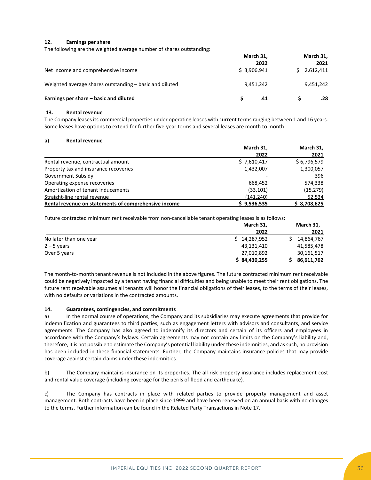### **12. Earnings per share**

The following are the weighted average number of shares outstanding:

|                                                         | March 31,   | March 31, |
|---------------------------------------------------------|-------------|-----------|
|                                                         | 2022        | 2021      |
| Net income and comprehensive income                     | \$3.906.941 | 2,612,411 |
| Weighted average shares outstanding – basic and diluted | 9,451,242   | 9,451,242 |
| Earnings per share – basic and diluted                  | .41         | .28       |

#### **13. Rental revenue**

The Company leases its commercial properties under operating leases with current terms ranging between 1 and 16 years. Some leases have options to extend for further five-year terms and several leases are month to month.

#### **a) Rental revenue**

|                                                      | March 31,   | March 31,   |
|------------------------------------------------------|-------------|-------------|
|                                                      | 2022        | 2021        |
| Rental revenue, contractual amount                   | \$7,610,417 | \$6,796,579 |
| Property tax and insurance recoveries                | 1,432,007   | 1,300,057   |
| Government Subsidy                                   |             | 396         |
| Operating expense recoveries                         | 668.452     | 574,338     |
| Amortization of tenant inducements                   | (33, 101)   | (15, 279)   |
| Straight-line rental revenue                         | (141, 240)  | 52,534      |
| Rental revenue on statements of comprehensive income | \$9,536,535 | \$8,708,625 |

Future contracted minimum rent receivable from non-cancellable tenant operating leases is as follows:

|                        | March 31,    | March 31,  |
|------------------------|--------------|------------|
|                        | 2022         | 2021       |
| No later than one year | \$14,287,952 | 14,864,767 |
| $2 - 5$ years          | 43,131,410   | 41,585,478 |
| Over 5 years           | 27,010,892   | 30,161,517 |
|                        | \$84,430,255 | 86,611,762 |

The month-to-month tenant revenue is not included in the above figures. The future contracted minimum rent receivable could be negatively impacted by a tenant having financial difficulties and being unable to meet their rent obligations. The future rent receivable assumes all tenants will honor the financial obligations of their leases, to the terms of their leases, with no defaults or variations in the contracted amounts.

### **14. Guarantees, contingencies, and commitments**

a) In the normal course of operations, the Company and its subsidiaries may execute agreements that provide for indemnification and guarantees to third parties, such as engagement letters with advisors and consultants, and service agreements. The Company has also agreed to indemnify its directors and certain of its officers and employees in accordance with the Company's bylaws. Certain agreements may not contain any limits on the Company's liability and, therefore, it is not possible to estimate the Company's potential liability under these indemnities, and as such, no provision has been included in these financial statements. Further, the Company maintains insurance policies that may provide coverage against certain claims under these indemnities.

b) The Company maintains insurance on its properties. The all-risk property insurance includes replacement cost and rental value coverage (including coverage for the perils of flood and earthquake).

c) The Company has contracts in place with related parties to provide property management and asset management. Both contracts have been in place since 1999 and have been renewed on an annual basis with no changes to the terms. Further information can be found in the Related Party Transactions in Note 17.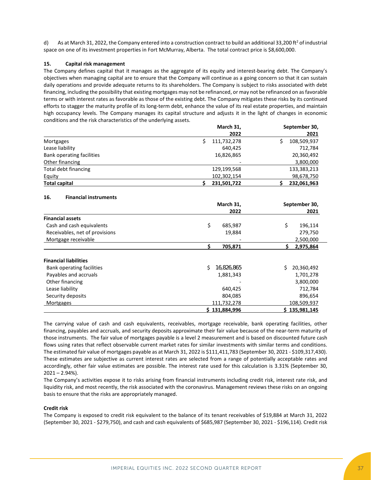d) As at March 31, 2022, the Company entered into a construction contract to build an additional 33,200 ft<sup>2</sup> of industrial space on one of its investment properties in Fort McMurray, Alberta. The total contract price is \$8,600,000.

### **15. Capital risk management**

The Company defines capital that it manages as the aggregate of its equity and interest-bearing debt. The Company's objectives when managing capital are to ensure that the Company will continue as a going concern so that it can sustain daily operations and provide adequate returns to its shareholders. The Company is subject to risks associated with debt financing, including the possibility that existing mortgages may not be refinanced, or may not be refinanced on as favorable terms or with interest rates as favorable as those of the existing debt. The Company mitigates these risks by its continued efforts to stagger the maturity profile of its long-term debt, enhance the value of its real estate properties, and maintain high occupancy levels. The Company manages its capital structure and adjusts it in the light of changes in economic conditions and the risk characteristics of the underlying assets.

|                           | March 31,   | September 30, |  |  |
|---------------------------|-------------|---------------|--|--|
|                           | 2022        | 2021          |  |  |
| Mortgages                 | 111,732,278 | 108,509,937   |  |  |
| Lease liability           | 640.425     | 712,784       |  |  |
| Bank operating facilities | 16,826,865  | 20,360,492    |  |  |
| Other financing           |             | 3,800,000     |  |  |
| Total debt financing      | 129,199,568 | 133,383,213   |  |  |
| Equity                    | 102,302,154 | 98,678,750    |  |  |
| <b>Total capital</b>      | 231,501,722 | 232,061,963   |  |  |

### **16. Financial instruments**

|                                | March 31,        | September 30,  |
|--------------------------------|------------------|----------------|
|                                | 2022             | 2021           |
| <b>Financial assets</b>        |                  |                |
| Cash and cash equivalents      | \$<br>685,987    | \$<br>196,114  |
| Receivables, net of provisions | 19,884           | 279,750        |
| Mortgage receivable            |                  | 2,500,000      |
|                                | 705,871          | 2,975,864<br>S |
| <b>Financial liabilities</b>   |                  |                |
| Bank operating facilities      | Ś.<br>16,826,865 | 20,360,492     |
| Payables and accruals          | 1,881,343        | 1,701,278      |
| Other financing                |                  | 3,800,000      |
| Lease liability                | 640,425          | 712,784        |
| Security deposits              | 804,085          | 896,654        |
| Mortgages                      | 111,732,278      | 108,509,937    |
|                                | \$131,884,996    | \$135,981,145  |

The carrying value of cash and cash equivalents, receivables, mortgage receivable, bank operating facilities, other financing, payables and accruals, and security deposits approximate their fair value because of the near-term maturity of those instruments. The fair value of mortgages payable is a level 2 measurement and is based on discounted future cash flows using rates that reflect observable current market rates for similar investments with similar terms and conditions. The estimated fair value of mortgages payable as at March 31, 2022 is \$111,411,783 (September 30, 2021 - \$109,317,430). These estimates are subjective as current interest rates are selected from a range of potentially acceptable rates and accordingly, other fair value estimates are possible. The interest rate used for this calculation is 3.31% (September 30,  $2021 - 2.94\%$ ).

The Company's activities expose it to risks arising from financial instruments including credit risk, interest rate risk, and liquidity risk, and most recently, the risk associated with the coronavirus. Management reviews these risks on an ongoing basis to ensure that the risks are appropriately managed.

#### **Credit risk**

The Company is exposed to credit risk equivalent to the balance of its tenant receivables of \$19,884 at March 31, 2022 (September 30, 2021 - \$279,750), and cash and cash equivalents of \$685,987 (September 30, 2021 - \$196,114). Credit risk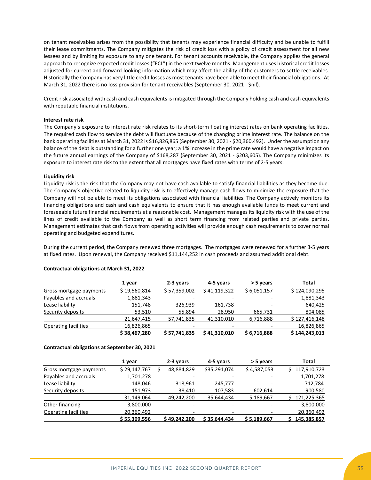on tenant receivables arises from the possibility that tenants may experience financial difficulty and be unable to fulfill their lease commitments. The Company mitigates the risk of credit loss with a policy of credit assessment for all new lessees and by limiting its exposure to any one tenant. For tenant accounts receivable, the Company applies the general approach to recognize expected credit losses ("ECL") in the next twelve months. Management uses historical credit losses adjusted for current and forward-looking information which may affect the ability of the customers to settle receivables. Historically the Company has very little credit losses as most tenants have been able to meet their financial obligations. At March 31, 2022 there is no loss provision for tenant receivables (September 30, 2021 - \$nil).

Credit risk associated with cash and cash equivalents is mitigated through the Company holding cash and cash equivalents with reputable financial institutions.

#### **Interest rate risk**

The Company's exposure to interest rate risk relates to its short-term floating interest rates on bank operating facilities. The required cash flow to service the debt will fluctuate because of the changing prime interest rate. The balance on the bank operating facilities at March 31, 2022 is \$16,826,865 (September 30, 2021 - \$20,360,492). Under the assumption any balance of the debt is outstanding for a further one year; a 1% increase in the prime rate would have a negative impact on the future annual earnings of the Company of \$168,287 (September 30, 2021 - \$203,605). The Company minimizes its exposure to interest rate risk to the extent that all mortgages have fixed rates with terms of 2-5 years.

#### **Liquidity risk**

Liquidity risk is the risk that the Company may not have cash available to satisfy financial liabilities as they become due. The Company's objective related to liquidity risk is to effectively manage cash flows to minimize the exposure that the Company will not be able to meet its obligations associated with financial liabilities. The Company actively monitors its financing obligations and cash and cash equivalents to ensure that it has enough available funds to meet current and foreseeable future financial requirements at a reasonable cost. Management manages its liquidity risk with the use of the lines of credit available to the Company as well as short term financing from related parties and private parties. Management estimates that cash flows from operating activities will provide enough cash requirements to cover normal operating and budgeted expenditures.

During the current period, the Company renewed three mortgages. The mortgages were renewed for a further 3-5 years at fixed rates. Upon renewal, the Company received \$11,144,252 in cash proceeds and assumed additional debt.

|                             | 1 year       | 2-3 years    | 4-5 years                | > 5 years   | Total         |
|-----------------------------|--------------|--------------|--------------------------|-------------|---------------|
| Gross mortgage payments     | \$19,560,814 | \$57,359,002 | \$41,119,322             | \$6,051,157 | \$124,090,295 |
| Payables and accruals       | 1,881,343    |              |                          |             | 1,881,343     |
| Lease liability             | 151,748      | 326,939      | 161,738                  |             | 640,425       |
| Security deposits           | 53.510       | 55.894       | 28.950                   | 665.731     | 804,085       |
|                             | 21,647,415   | 57,741,835   | 41,310,010               | 6,716,888   | \$127,416,148 |
| <b>Operating facilities</b> | 16,826,865   |              | $\overline{\phantom{a}}$ |             | 16,826,865    |
|                             | \$38,467,280 | \$57.741.835 | \$41.310.010             | \$6,716,888 | \$144,243,013 |

#### **Contractual obligations at March 31, 2022**

#### **Contractual obligations at September 30, 2021**

|                         | 1 year       |  | 2-3 years    | 4-5 years    | > 5 years   | Total             |  |
|-------------------------|--------------|--|--------------|--------------|-------------|-------------------|--|
| Gross mortgage payments | \$29,147,767 |  | 48,884,829   | \$35,291,074 | \$4,587,053 | 117,910,723<br>S. |  |
| Payables and accruals   | 1,701,278    |  |              |              |             | 1,701,278         |  |
| Lease liability         | 148,046      |  | 318,961      | 245,777      |             | 712,784           |  |
| Security deposits       | 151,973      |  | 38,410       | 107,583      | 602,614     | 900,580           |  |
|                         | 31,149,064   |  | 49,242,200   | 35,644,434   | 5,189,667   | 121,225,365       |  |
| Other financing         | 3,800,000    |  |              |              |             | 3,800,000         |  |
| Operating facilities    | 20,360,492   |  |              |              |             | 20,360,492        |  |
|                         | \$55,309,556 |  | \$49.242.200 | \$35,644,434 | \$5,189,667 | 145,385,857       |  |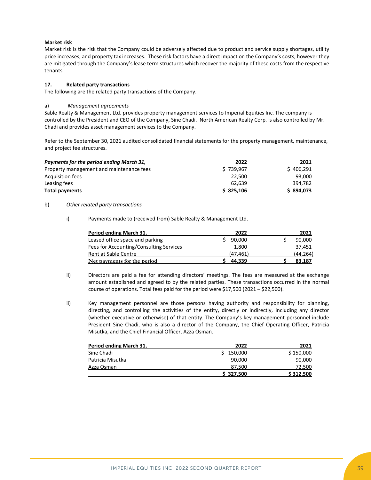### **Market risk**

Market risk is the risk that the Company could be adversely affected due to product and service supply shortages, utility price increases, and property tax increases. These risk factors have a direct impact on the Company's costs, however they are mitigated through the Company's lease term structures which recover the majority of these costs from the respective tenants.

### **17. Related party transactions**

The following are the related party transactions of the Company.

### a) *Management agreements*

Sable Realty & Management Ltd. provides property management services to Imperial Equities Inc. The company is controlled by the President and CEO of the Company, Sine Chadi. North American Realty Corp. is also controlled by Mr. Chadi and provides asset management services to the Company.

Refer to the September 30, 2021 audited consolidated financial statements for the property management, maintenance, and project fee structures.

| Payments for the period ending March 31, | 2022      | 2021      |
|------------------------------------------|-----------|-----------|
| Property management and maintenance fees | \$739.967 | \$406,291 |
| Acquisition fees                         | 22.500    | 93.000    |
| Leasing fees                             | 62.639    | 394,782   |
| <b>Total payments</b>                    | \$825.106 | \$894,073 |

### b) *Other related party transactions*

i) Payments made to (received from) Sable Realty & Management Ltd.

| Period ending March 31,                 | 2022      | 2021      |
|-----------------------------------------|-----------|-----------|
| Leased office space and parking         | 90,000    | 90,000    |
| Fees for Accounting/Consulting Services | 1,800     | 37.451    |
| Rent at Sable Centre                    | (47, 461) | (44, 264) |
| Net payments for the period             | 44.339    | 83.187    |

- ii) Directors are paid a fee for attending directors' meetings. The fees are measured at the exchange amount established and agreed to by the related parties. These transactions occurred in the normal course of operations. Total fees paid for the period were \$17,500 (2021 – \$22,500).
- ii) Key management personnel are those persons having authority and responsibility for planning, directing, and controlling the activities of the entity, directly or indirectly, including any director (whether executive or otherwise) of that entity. The Company's key management personnel include President Sine Chadi, who is also a director of the Company, the Chief Operating Officer, Patricia Misutka, and the Chief Financial Officer, Azza Osman.

| Period ending March 31, | 2022      | 2021      |
|-------------------------|-----------|-----------|
| Sine Chadi              | \$150,000 | \$150,000 |
| Patricia Misutka        | 90,000    | 90,000    |
| Azza Osman              | 87.500    | 72,500    |
|                         | \$327.500 | \$312,500 |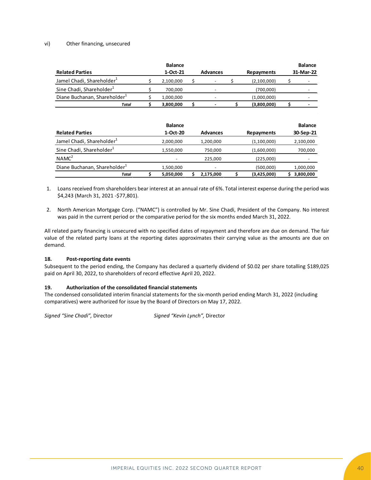### vi) Other financing, unsecured

|                                          |   | <b>Balance</b>             |                 |    |                   | <b>Balance</b>              |
|------------------------------------------|---|----------------------------|-----------------|----|-------------------|-----------------------------|
| <b>Related Parties</b>                   |   | 1-Oct-21                   | <b>Advances</b> |    | Repayments        | 31-Mar-22                   |
| Jamel Chadi, Shareholder <sup>1</sup>    | S | 2,100,000                  | \$              | S  | (2,100,000)       | \$                          |
| Sine Chadi, Shareholder <sup>1</sup>     |   | 700,000                    |                 |    | (700,000)         |                             |
| Diane Buchanan, Shareholder <sup>1</sup> | Ś | 1,000,000                  |                 |    | (1,000,000)       |                             |
| Total                                    |   | 3,800,000                  | \$              | Ś  | (3,800,000)       | \$                          |
| <b>Related Parties</b>                   |   | <b>Balance</b><br>1-Oct-20 | <b>Advances</b> |    | <b>Repayments</b> | <b>Balance</b><br>30-Sep-21 |
| Jamel Chadi, Shareholder <sup>1</sup>    |   | 2,000,000                  | 1,200,000       |    | (1,100,000)       | 2,100,000                   |
| Sine Chadi, Shareholder <sup>1</sup>     |   | 1,550,000                  | 750,000         |    | (1,600,000)       | 700,000                     |
| NAMC <sup>2</sup>                        |   |                            | 225,000         |    | (225,000)         |                             |
| Diane Buchanan, Shareholder <sup>1</sup> |   | 1,500,000                  |                 |    | (500,000)         | 1,000,000                   |
| Total                                    |   | 5,050,000                  | 2,175,000       | \$ | (3,425,000)       | 3,800,000                   |

1. Loans received from shareholders bear interest at an annual rate of 6%. Total interest expense during the period was \$4,243 (March 31, 2021 -\$77,801).

2. North American Mortgage Corp. ("NAMC") is controlled by Mr. Sine Chadi, President of the Company. No interest was paid in the current period or the comparative period for the six months ended March 31, 2022.

All related party financing is unsecured with no specified dates of repayment and therefore are due on demand. The fair value of the related party loans at the reporting dates approximates their carrying value as the amounts are due on demand.

### **18. Post-reporting date events**

Subsequent to the period ending, the Company has declared a quarterly dividend of \$0.02 per share totalling \$189,025 paid on April 30, 2022, to shareholders of record effective April 20, 2022.

### **19. Authorization of the consolidated financial statements**

The condensed consolidated interim financial statements for the six-month period ending March 31, 2022 (including comparatives) were authorized for issue by the Board of Directors on May 17, 2022.

*Signed "Sine Chadi",* Director *Signed "Kevin Lynch",* Director